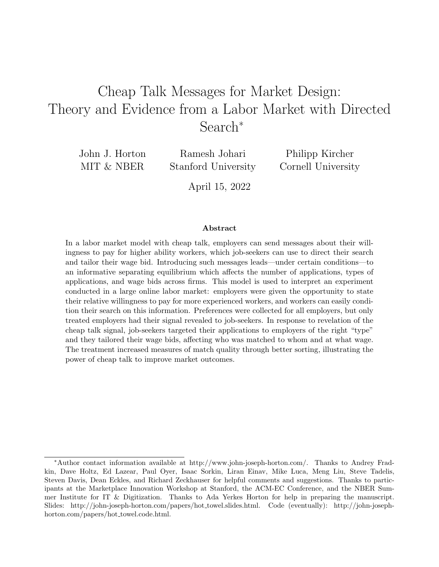# <span id="page-0-0"></span>Cheap Talk Messages for Market Design: Theory and Evidence from a Labor Market with Directed Search<sup>∗</sup>

John J. Horton MIT & NBER

Ramesh Johari Stanford University

Philipp Kircher Cornell University

April 15, 2022

#### Abstract

In a labor market model with cheap talk, employers can send messages about their willingness to pay for higher ability workers, which job-seekers can use to direct their search and tailor their wage bid. Introducing such messages leads—under certain conditions—to an informative separating equilibrium which affects the number of applications, types of applications, and wage bids across firms. This model is used to interpret an experiment conducted in a large online labor market: employers were given the opportunity to state their relative willingness to pay for more experienced workers, and workers can easily condition their search on this information. Preferences were collected for all employers, but only treated employers had their signal revealed to job-seekers. In response to revelation of the cheap talk signal, job-seekers targeted their applications to employers of the right "type" and they tailored their wage bids, affecting who was matched to whom and at what wage. The treatment increased measures of match quality through better sorting, illustrating the power of cheap talk to improve market outcomes.

<sup>∗</sup>Author contact information available at [http://www.john-joseph-horton.com/.](http://www.john-joseph-horton.com/) Thanks to Andrey Fradkin, Dave Holtz, Ed Lazear, Paul Oyer, Isaac Sorkin, Liran Einav, Mike Luca, Meng Liu, Steve Tadelis, Steven Davis, Dean Eckles, and Richard Zeckhauser for helpful comments and suggestions. Thanks to participants at the Marketplace Innovation Workshop at Stanford, the ACM-EC Conference, and the NBER Summer Institute for IT & Digitization. Thanks to [Ada Yerkes Horton](https://john-joseph-horton.com/papers/ayh.jpg) for help in preparing the manuscript. Slides: [http://john-joseph-horton.com/papers/hot](https://john-joseph-horton.com/papers/hot_towel.slides.html) towel.slides.html. Code (eventually): [http://john-joseph](https://john-joseph-horton.com/papers/hot_towel.code.html)[horton.com/papers/hot](https://john-joseph-horton.com/papers/hot_towel.code.html)\_towel.code.html.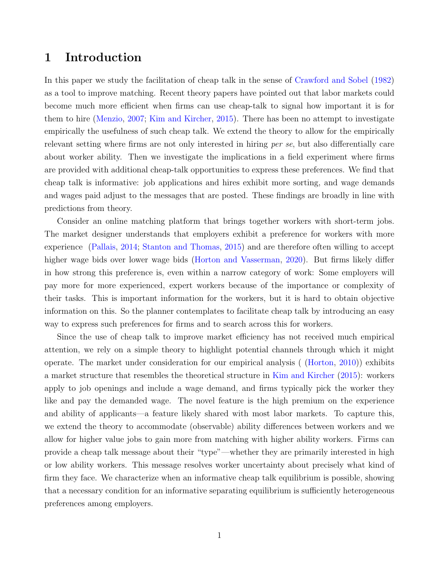## 1 Introduction

In this paper we study the facilitation of cheap talk in the sense of [Crawford and Sobel](#page-40-0) [\(1982\)](#page-40-0) as a tool to improve matching. Recent theory papers have pointed out that labor markets could become much more efficient when firms can use cheap-talk to signal how important it is for them to hire [\(Menzio,](#page-42-0) [2007;](#page-42-0) [Kim and Kircher,](#page-41-0) [2015\)](#page-41-0). There has been no attempt to investigate empirically the usefulness of such cheap talk. We extend the theory to allow for the empirically relevant setting where firms are not only interested in hiring per se, but also differentially care about worker ability. Then we investigate the implications in a field experiment where firms are provided with additional cheap-talk opportunities to express these preferences. We find that cheap talk is informative: job applications and hires exhibit more sorting, and wage demands and wages paid adjust to the messages that are posted. These findings are broadly in line with predictions from theory.

Consider an online matching platform that brings together workers with short-term jobs. The market designer understands that employers exhibit a preference for workers with more experience [\(Pallais,](#page-42-1) [2014;](#page-42-1) [Stanton and Thomas,](#page-43-0) [2015\)](#page-43-0) and are therefore often willing to accept higher wage bids over lower wage bids [\(Horton and Vasserman,](#page-41-1) [2020\)](#page-41-1). But firms likely differ in how strong this preference is, even within a narrow category of work: Some employers will pay more for more experienced, expert workers because of the importance or complexity of their tasks. This is important information for the workers, but it is hard to obtain objective information on this. So the planner contemplates to facilitate cheap talk by introducing an easy way to express such preferences for firms and to search across this for workers.

Since the use of cheap talk to improve market efficiency has not received much empirical attention, we rely on a simple theory to highlight potential channels through which it might operate. The market under consideration for our empirical analysis ( [\(Horton,](#page-41-2) [2010\)](#page-41-2)) exhibits a market structure that resembles the theoretical structure in [Kim and Kircher](#page-41-0) [\(2015\)](#page-41-0): workers apply to job openings and include a wage demand, and firms typically pick the worker they like and pay the demanded wage. The novel feature is the high premium on the experience and ability of applicants—a feature likely shared with most labor markets. To capture this, we extend the theory to accommodate (observable) ability differences between workers and we allow for higher value jobs to gain more from matching with higher ability workers. Firms can provide a cheap talk message about their "type"—whether they are primarily interested in high or low ability workers. This message resolves worker uncertainty about precisely what kind of firm they face. We characterize when an informative cheap talk equilibrium is possible, showing that a necessary condition for an informative separating equilibrium is sufficiently heterogeneous preferences among employers.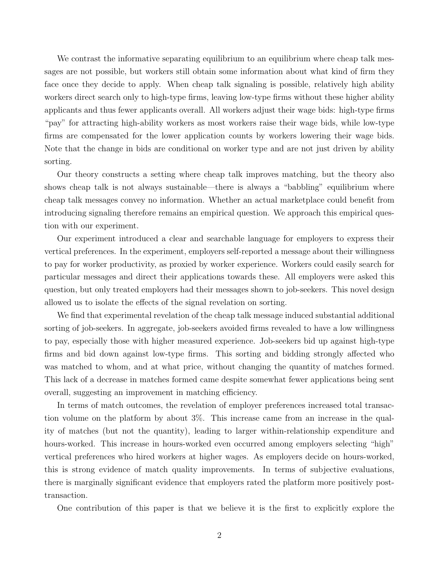We contrast the informative separating equilibrium to an equilibrium where cheap talk messages are not possible, but workers still obtain some information about what kind of firm they face once they decide to apply. When cheap talk signaling is possible, relatively high ability workers direct search only to high-type firms, leaving low-type firms without these higher ability applicants and thus fewer applicants overall. All workers adjust their wage bids: high-type firms "pay" for attracting high-ability workers as most workers raise their wage bids, while low-type firms are compensated for the lower application counts by workers lowering their wage bids. Note that the change in bids are conditional on worker type and are not just driven by ability sorting.

Our theory constructs a setting where cheap talk improves matching, but the theory also shows cheap talk is not always sustainable—there is always a "babbling" equilibrium where cheap talk messages convey no information. Whether an actual marketplace could benefit from introducing signaling therefore remains an empirical question. We approach this empirical question with our experiment.

Our experiment introduced a clear and searchable language for employers to express their vertical preferences. In the experiment, employers self-reported a message about their willingness to pay for worker productivity, as proxied by worker experience. Workers could easily search for particular messages and direct their applications towards these. All employers were asked this question, but only treated employers had their messages shown to job-seekers. This novel design allowed us to isolate the effects of the signal revelation on sorting.

We find that experimental revelation of the cheap talk message induced substantial additional sorting of job-seekers. In aggregate, job-seekers avoided firms revealed to have a low willingness to pay, especially those with higher measured experience. Job-seekers bid up against high-type firms and bid down against low-type firms. This sorting and bidding strongly affected who was matched to whom, and at what price, without changing the quantity of matches formed. This lack of a decrease in matches formed came despite somewhat fewer applications being sent overall, suggesting an improvement in matching efficiency.

In terms of match outcomes, the revelation of employer preferences increased total transaction volume on the platform by about 3%. This increase came from an increase in the quality of matches (but not the quantity), leading to larger within-relationship expenditure and hours-worked. This increase in hours-worked even occurred among employers selecting "high" vertical preferences who hired workers at higher wages. As employers decide on hours-worked, this is strong evidence of match quality improvements. In terms of subjective evaluations, there is marginally significant evidence that employers rated the platform more positively posttransaction.

One contribution of this paper is that we believe it is the first to explicitly explore the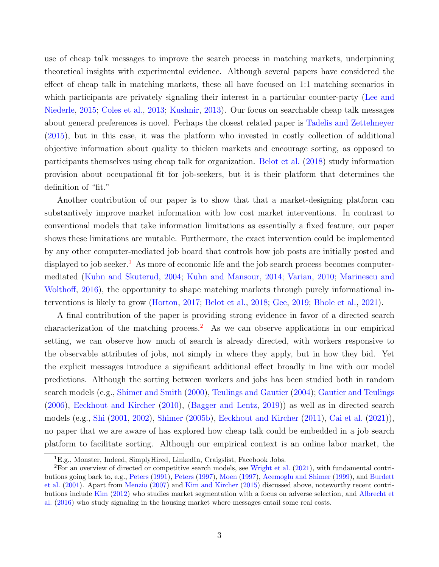use of cheap talk messages to improve the search process in matching markets, underpinning theoretical insights with experimental evidence. Although several papers have considered the effect of cheap talk in matching markets, these all have focused on 1:1 matching scenarios in which participants are privately signaling their interest in a particular counter-party [\(Lee and](#page-41-3) [Niederle,](#page-41-3) [2015;](#page-41-3) [Coles et al.,](#page-40-1) [2013;](#page-40-1) [Kushnir,](#page-41-4) [2013\)](#page-41-4). Our focus on searchable cheap talk messages about general preferences is novel. Perhaps the closest related paper is [Tadelis and Zettelmeyer](#page-43-1) [\(2015\)](#page-43-1), but in this case, it was the platform who invested in costly collection of additional objective information about quality to thicken markets and encourage sorting, as opposed to participants themselves using cheap talk for organization. [Belot et al.](#page-39-0) [\(2018\)](#page-39-0) study information provision about occupational fit for job-seekers, but it is their platform that determines the definition of "fit."

Another contribution of our paper is to show that that a market-designing platform can substantively improve market information with low cost market interventions. In contrast to conventional models that take information limitations as essentially a fixed feature, our paper shows these limitations are mutable. Furthermore, the exact intervention could be implemented by any other computer-mediated job board that controls how job posts are initially posted and displayed to job seeker.<sup>[1](#page-0-0)</sup> As more of economic life and the job search process becomes computermediated [\(Kuhn and Skuterud,](#page-41-5) [2004;](#page-41-5) [Kuhn and Mansour,](#page-41-6) [2014;](#page-41-6) [Varian,](#page-43-2) [2010;](#page-43-2) [Marinescu and](#page-42-2) [Wolthoff,](#page-42-2) [2016\)](#page-42-2), the opportunity to shape matching markets through purely informational interventions is likely to grow [\(Horton,](#page-41-7) [2017;](#page-41-7) [Belot et al.,](#page-39-0) [2018;](#page-39-0) [Gee,](#page-40-2) [2019;](#page-40-2) [Bhole et al.,](#page-39-1) [2021\)](#page-39-1).

A final contribution of the paper is providing strong evidence in favor of a directed search characterization of the matching process.<sup>[2](#page-0-0)</sup> As we can observe applications in our empirical setting, we can observe how much of search is already directed, with workers responsive to the observable attributes of jobs, not simply in where they apply, but in how they bid. Yet the explicit messages introduce a significant additional effect broadly in line with our model predictions. Although the sorting between workers and jobs has been studied both in random search models (e.g., [Shimer and Smith](#page-42-3) [\(2000\)](#page-42-3), [Teulings and Gautier](#page-43-3) [\(2004\)](#page-43-3); [Gautier and Teulings](#page-40-3) [\(2006\)](#page-40-3), [Eeckhout and Kircher](#page-40-4) [\(2010\)](#page-40-4), [\(Bagger and Lentz,](#page-39-2) [2019\)](#page-39-2)) as well as in directed search models (e.g., [Shi](#page-42-4) [\(2001,](#page-42-4) [2002\)](#page-42-5), [Shimer](#page-42-6) [\(2005b\)](#page-42-6), [Eeckhout and Kircher](#page-40-5) [\(2011\)](#page-40-5), [Cai et al.](#page-40-6) [\(2021\)](#page-40-6)), no paper that we are aware of has explored how cheap talk could be embedded in a job search platform to facilitate sorting. Although our empirical context is an online labor market, the

<sup>&</sup>lt;sup>1</sup>E.g., Monster, Indeed, SimplyHired, LinkedIn, Craigslist, Facebook Jobs.

<sup>2</sup>For an overview of directed or competitive search models, see [Wright et al.](#page-43-4) [\(2021\)](#page-43-4), with fundamental contributions going back to, e.g., [Peters](#page-42-7) [\(1991\)](#page-42-7), [Peters](#page-42-8) [\(1997\)](#page-42-8), [Moen](#page-42-9) [\(1997\)](#page-42-9), [Acemoglu and Shimer](#page-39-3) [\(1999\)](#page-39-3), and [Burdett](#page-40-7) [et al.](#page-40-7) [\(2001\)](#page-40-7). Apart from [Menzio](#page-42-0) [\(2007\)](#page-42-0) and [Kim and Kircher](#page-41-0) [\(2015\)](#page-41-0) discussed above, noteworthy recent contributions include [Kim](#page-41-8) [\(2012\)](#page-41-8) who studies market segmentation with a focus on adverse selection, and [Albrecht et](#page-39-4) [al.](#page-39-4) [\(2016\)](#page-39-4) who study signaling in the housing market where messages entail some real costs.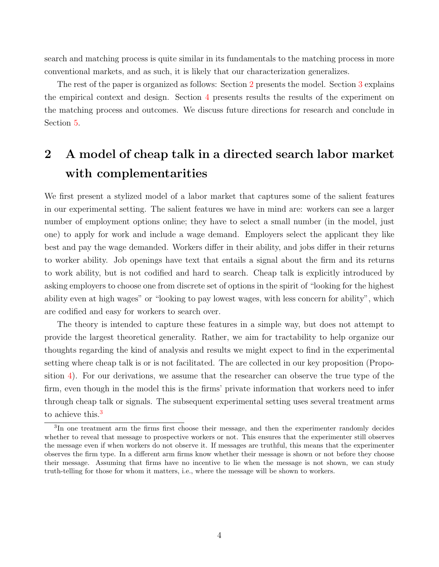search and matching process is quite similar in its fundamentals to the matching process in more conventional markets, and as such, it is likely that our characterization generalizes.

The rest of the paper is organized as follows: Section [2](#page-4-0) presents the model. Section [3](#page-14-0) explains the empirical context and design. Section [4](#page-18-0) presents results the results of the experiment on the matching process and outcomes. We discuss future directions for research and conclude in Section [5.](#page-34-0)

# <span id="page-4-0"></span>2 A model of cheap talk in a directed search labor market with complementarities

We first present a stylized model of a labor market that captures some of the salient features in our experimental setting. The salient features we have in mind are: workers can see a larger number of employment options online; they have to select a small number (in the model, just one) to apply for work and include a wage demand. Employers select the applicant they like best and pay the wage demanded. Workers differ in their ability, and jobs differ in their returns to worker ability. Job openings have text that entails a signal about the firm and its returns to work ability, but is not codified and hard to search. Cheap talk is explicitly introduced by asking employers to choose one from discrete set of options in the spirit of "looking for the highest ability even at high wages" or "looking to pay lowest wages, with less concern for ability", which are codified and easy for workers to search over.

The theory is intended to capture these features in a simple way, but does not attempt to provide the largest theoretical generality. Rather, we aim for tractability to help organize our thoughts regarding the kind of analysis and results we might expect to find in the experimental setting where cheap talk is or is not facilitated. The are collected in our key proposition (Proposition [4\)](#page-14-1). For our derivations, we assume that the researcher can observe the true type of the firm, even though in the model this is the firms' private information that workers need to infer through cheap talk or signals. The subsequent experimental setting uses several treatment arms to achieve this.<sup>[3](#page-0-0)</sup>

<sup>3</sup> In one treatment arm the firms first choose their message, and then the experimenter randomly decides whether to reveal that message to prospective workers or not. This ensures that the experimenter still observes the message even if when workers do not observe it. If messages are truthful, this means that the experimenter observes the firm type. In a different arm firms know whether their message is shown or not before they choose their message. Assuming that firms have no incentive to lie when the message is not shown, we can study truth-telling for those for whom it matters, i.e., where the message will be shown to workers.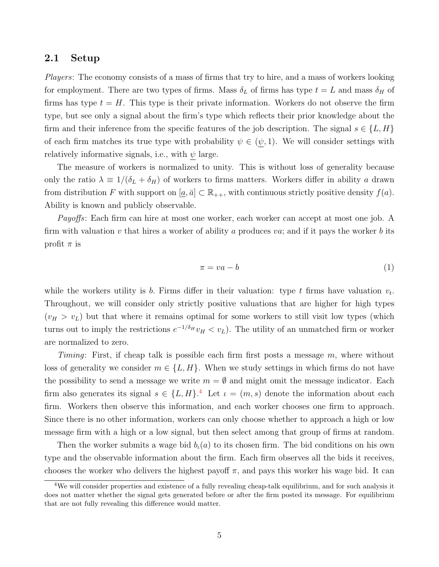### 2.1 Setup

Players: The economy consists of a mass of firms that try to hire, and a mass of workers looking for employment. There are two types of firms. Mass  $\delta_L$  of firms has type  $t = L$  and mass  $\delta_H$  of firms has type  $t = H$ . This type is their private information. Workers do not observe the firm type, but see only a signal about the firm's type which reflects their prior knowledge about the firm and their inference from the specific features of the job description. The signal  $s \in \{L, H\}$ of each firm matches its true type with probability  $\psi \in (\psi, 1)$ . We will consider settings with relatively informative signals, i.e., with  $\psi$  large.

The measure of workers is normalized to unity. This is without loss of generality because only the ratio  $\lambda \equiv 1/(\delta_L + \delta_H)$  of workers to firms matters. Workers differ in ability a drawn from distribution F with support on  $[\underline{a}, \overline{a}] \subset \mathbb{R}_{++}$ , with continuous strictly positive density  $f(a)$ . Ability is known and publicly observable.

Payoffs: Each firm can hire at most one worker, each worker can accept at most one job. A firm with valuation v that hires a worker of ability a produces va; and if it pays the worker b its profit  $\pi$  is

$$
\pi = va - b \tag{1}
$$

while the workers utility is b. Firms differ in their valuation: type t firms have valuation  $v_t$ . Throughout, we will consider only strictly positive valuations that are higher for high types  $(v_H > v_L)$  but that where it remains optimal for some workers to still visit low types (which turns out to imply the restrictions  $e^{-1/\delta_H}v_H < v_L$ ). The utility of an unmatched firm or worker are normalized to zero.

Timing: First, if cheap talk is possible each firm first posts a message  $m$ , where without loss of generality we consider  $m \in \{L, H\}$ . When we study settings in which firms do not have the possibility to send a message we write  $m = \emptyset$  and might omit the message indicator. Each firm also generates its signal  $s \in \{L, H\}$ .<sup>[4](#page-0-0)</sup> Let  $\iota = (m, s)$  denote the information about each firm. Workers then observe this information, and each worker chooses one firm to approach. Since there is no other information, workers can only choose whether to approach a high or low message firm with a high or a low signal, but then select among that group of firms at random.

Then the worker submits a wage bid  $b<sub>i</sub>(a)$  to its chosen firm. The bid conditions on his own type and the observable information about the firm. Each firm observes all the bids it receives, chooses the worker who delivers the highest payoff  $\pi$ , and pays this worker his wage bid. It can

<sup>4</sup>We will consider properties and existence of a fully revealing cheap-talk equilibrium, and for such analysis it does not matter whether the signal gets generated before or after the firm posted its message. For equilibrium that are not fully revealing this difference would matter.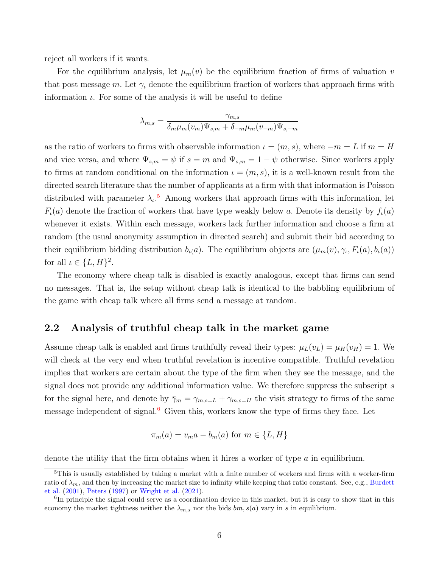reject all workers if it wants.

For the equilibrium analysis, let  $\mu_m(v)$  be the equilibrium fraction of firms of valuation v that post message m. Let  $\gamma_t$  denote the equilibrium fraction of workers that approach firms with information  $\iota$ . For some of the analysis it will be useful to define

$$
\lambda_{m,s} = \frac{\gamma_{m,s}}{\delta_m \mu_m(v_m) \Psi_{s,m} + \delta_{-m} \mu_m(v_{-m}) \Psi_{s,-m}}
$$

as the ratio of workers to firms with observable information  $\iota = (m, s)$ , where  $-m = L$  if  $m = H$ and vice versa, and where  $\Psi_{s,m} = \psi$  if  $s = m$  and  $\Psi_{s,m} = 1 - \psi$  otherwise. Since workers apply to firms at random conditional on the information  $\iota = (m, s)$ , it is a well-known result from the directed search literature that the number of applicants at a firm with that information is Poisson distributed with parameter  $\lambda_{\iota}$ <sup>[5](#page-0-0)</sup> Among workers that approach firms with this information, let  $F_{\iota}(a)$  denote the fraction of workers that have type weakly below a. Denote its density by  $f_{\iota}(a)$ whenever it exists. Within each message, workers lack further information and choose a firm at random (the usual anonymity assumption in directed search) and submit their bid according to their equilibrium bidding distribution  $b_{\iota}(a)$ . The equilibrium objects are  $(\mu_m(v), \gamma_{\iota}, F_{\iota}(a), b_{\iota}(a))$ for all  $\iota \in \{L, H\}^2$ .

The economy where cheap talk is disabled is exactly analogous, except that firms can send no messages. That is, the setup without cheap talk is identical to the babbling equilibrium of the game with cheap talk where all firms send a message at random.

### 2.2 Analysis of truthful cheap talk in the market game

Assume cheap talk is enabled and firms truthfully reveal their types:  $\mu_L(v_L) = \mu_H(v_H) = 1$ . We will check at the very end when truthful revelation is incentive compatible. Truthful revelation implies that workers are certain about the type of the firm when they see the message, and the signal does not provide any additional information value. We therefore suppress the subscript s for the signal here, and denote by  $\bar{\gamma}_m = \gamma_{m,s=L} + \gamma_{m,s=H}$  the visit strategy to firms of the same message independent of signal. $6$  Given this, workers know the type of firms they face. Let

$$
\pi_m(a) = v_m a - b_m(a) \text{ for } m \in \{L, H\}
$$

denote the utility that the firm obtains when it hires a worker of type a in equilibrium.

<sup>&</sup>lt;sup>5</sup>This is usually established by taking a market with a finite number of workers and firms with a worker-firm ratio of  $\lambda_m$ , and then by increasing the market size to infinity while keeping that ratio constant. See, e.g., [Burdett](#page-40-7) [et al.](#page-40-7) [\(2001\)](#page-40-7), [Peters](#page-42-8) [\(1997\)](#page-42-8) or [Wright et al.](#page-43-4) [\(2021\)](#page-43-4).

<sup>&</sup>lt;sup>6</sup>In principle the signal could serve as a coordination device in this market, but it is easy to show that in this economy the market tightness neither the  $\lambda_{m,s}$  nor the bids  $bm, s(a)$  vary in s in equilibrium.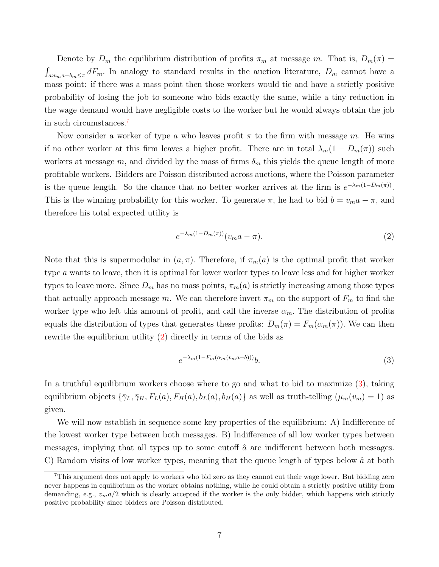Denote by  $D_m$  the equilibrium distribution of profits  $\pi_m$  at message m. That is,  $D_m(\pi)$  =  $\int_{a:v_ma-b_m\leq \pi} dF_m$ . In analogy to standard results in the auction literature,  $D_m$  cannot have a mass point: if there was a mass point then those workers would tie and have a strictly positive probability of losing the job to someone who bids exactly the same, while a tiny reduction in the wage demand would have negligible costs to the worker but he would always obtain the job in such circumstances.[7](#page-0-0)

Now consider a worker of type a who leaves profit  $\pi$  to the firm with message m. He wins if no other worker at this firm leaves a higher profit. There are in total  $\lambda_m(1 - D_m(\pi))$  such workers at message m, and divided by the mass of firms  $\delta_m$  this yields the queue length of more profitable workers. Bidders are Poisson distributed across auctions, where the Poisson parameter is the queue length. So the chance that no better worker arrives at the firm is  $e^{-\lambda_m(1-D_m(\pi))}$ . This is the winning probability for this worker. To generate  $\pi$ , he had to bid  $b = v_m a - \pi$ , and therefore his total expected utility is

<span id="page-7-0"></span>
$$
e^{-\lambda_m(1-D_m(\pi))}(v_m a - \pi). \tag{2}
$$

Note that this is supermodular in  $(a, \pi)$ . Therefore, if  $\pi_m(a)$  is the optimal profit that worker type a wants to leave, then it is optimal for lower worker types to leave less and for higher worker types to leave more. Since  $D_m$  has no mass points,  $\pi_m(a)$  is strictly increasing among those types that actually approach message m. We can therefore invert  $\pi_m$  on the support of  $F_m$  to find the worker type who left this amount of profit, and call the inverse  $\alpha_m$ . The distribution of profits equals the distribution of types that generates these profits:  $D_m(\pi) = F_m(\alpha_m(\pi))$ . We can then rewrite the equilibrium utility [\(2\)](#page-7-0) directly in terms of the bids as

<span id="page-7-1"></span>
$$
e^{-\lambda_m(1-F_m(\alpha_m(v_ma-b)))}b.\tag{3}
$$

In a truthful equilibrium workers choose where to go and what to bid to maximize [\(3\)](#page-7-1), taking equilibrium objects  $\{\bar{\gamma}_L, \bar{\gamma}_H, F_L(a), F_H(a), b_L(a), b_H(a)\}\$ as well as truth-telling  $(\mu_m(v_m) = 1)$  as given.

We will now establish in sequence some key properties of the equilibrium: A) Indifference of the lowest worker type between both messages. B) Indifference of all low worker types between messages, implying that all types up to some cutoff  $\hat{a}$  are indifferent between both messages. C) Random visits of low worker types, meaning that the queue length of types below  $\hat{a}$  at both

<sup>7</sup>This argument does not apply to workers who bid zero as they cannot cut their wage lower. But bidding zero never happens in equilibrium as the worker obtains nothing, while he could obtain a strictly positive utility from demanding, e.g.,  $v_m a/2$  which is clearly accepted if the worker is the only bidder, which happens with strictly positive probability since bidders are Poisson distributed.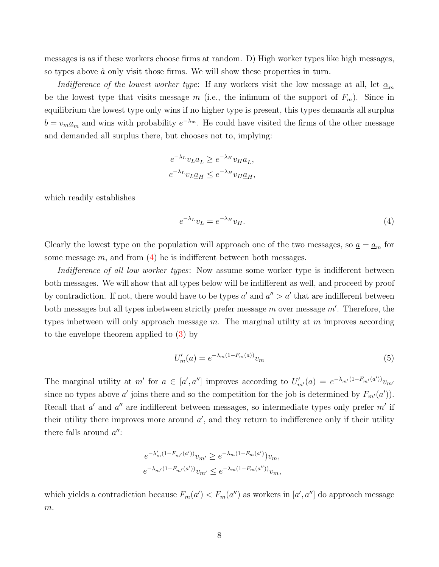messages is as if these workers choose firms at random. D) High worker types like high messages, so types above  $\hat{a}$  only visit those firms. We will show these properties in turn.

Indifference of the lowest worker type: If any workers visit the low message at all, let  $\alpha_m$ be the lowest type that visits message m (i.e., the infimum of the support of  $F_m$ ). Since in equilibrium the lowest type only wins if no higher type is present, this types demands all surplus  $b = v_m \underline{a}_m$  and wins with probability  $e^{-\lambda_m}$ . He could have visited the firms of the other message and demanded all surplus there, but chooses not to, implying:

$$
e^{-\lambda_L}v_L \underline{a}_L \ge e^{-\lambda_H}v_H \underline{a}_L,
$$
  

$$
e^{-\lambda_L}v_L \underline{a}_H \le e^{-\lambda_H}v_H \underline{a}_H,
$$

which readily establishes

<span id="page-8-0"></span>
$$
e^{-\lambda_L}v_L = e^{-\lambda_H}v_H.
$$
\n<sup>(4)</sup>

Clearly the lowest type on the population will approach one of the two messages, so  $\underline{a} = \underline{a}_m$  for some message  $m$ , and from  $(4)$  he is indifferent between both messages.

Indifference of all low worker types: Now assume some worker type is indifferent between both messages. We will show that all types below will be indifferent as well, and proceed by proof by contradiction. If not, there would have to be types  $a'$  and  $a'' > a'$  that are indifferent between both messages but all types inbetween strictly prefer message  $m$  over message  $m'$ . Therefore, the types inbetween will only approach message  $m$ . The marginal utility at  $m$  improves according to the envelope theorem applied to [\(3\)](#page-7-1) by

<span id="page-8-1"></span>
$$
U'_{m}(a) = e^{-\lambda_{m}(1 - F_{m}(a))}v_{m}
$$
\n(5)

The marginal utility at  $m'$  for  $a \in [a', a'']$  improves according to  $U'_{m'}(a) = e^{-\lambda_{m'}(1-F_{m'}(a'))}v_{m'}$ since no types above a' joins there and so the competition for the job is determined by  $F_{m'}(a')$ . Recall that  $a'$  and  $a''$  are indifferent between messages, so intermediate types only prefer  $m'$  if their utility there improves more around  $a'$ , and they return to indifference only if their utility there falls around  $a''$ :

$$
e^{-\lambda'_m(1-F_{m'}(a'))}v_{m'} \ge e^{-\lambda_m(1-F_m(a'))}v_m,
$$
  

$$
e^{-\lambda_{m'}(1-F_{m'}(a'))}v_{m'} \le e^{-\lambda_m(1-F_m(a''))}v_m,
$$

which yields a contradiction because  $F_m(a') < F_m(a'')$  as workers in  $[a', a'']$  do approach message  $\,m.$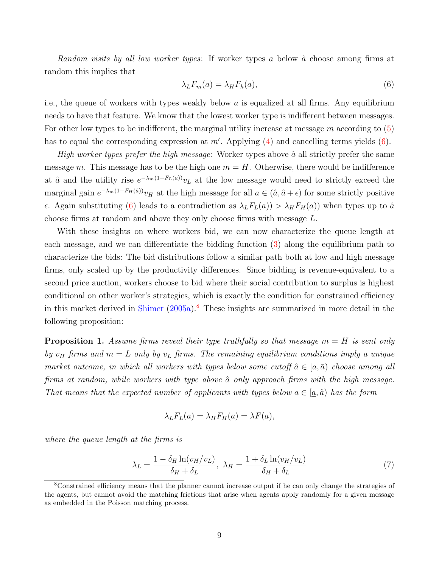Random visits by all low worker types: If worker types a below  $\hat{a}$  choose among firms at random this implies that

<span id="page-9-0"></span>
$$
\lambda_L F_m(a) = \lambda_H F_h(a),\tag{6}
$$

i.e., the queue of workers with types weakly below  $a$  is equalized at all firms. Any equilibrium needs to have that feature. We know that the lowest worker type is indifferent between messages. For other low types to be indifferent, the marginal utility increase at message  $m$  according to  $(5)$ has to equal the corresponding expression at  $m'$ . Applying  $(4)$  and cancelling terms yields  $(6)$ .

High worker types prefer the high message: Worker types above  $\hat{a}$  all strictly prefer the same message m. This message has to be the high one  $m = H$ . Otherwise, there would be indifference at  $\hat{a}$  and the utility rise  $e^{-\lambda_m(1-F_L(a))}v_L$  at the low message would need to strictly exceed the marginal gain  $e^{-\lambda_m(1-F_H(\hat{a}))}v_H$  at the high message for all  $a \in (\hat{a}, \hat{a}+\epsilon)$  for some strictly positive  $\epsilon$ . Again substituting [\(6\)](#page-9-0) leads to a contradiction as  $\lambda_L F_L(a)$ )  $\lambda_H F_H(a)$  when types up to  $\hat{a}$ choose firms at random and above they only choose firms with message L.

With these insights on where workers bid, we can now characterize the queue length at each message, and we can differentiate the bidding function [\(3\)](#page-7-1) along the equilibrium path to characterize the bids: The bid distributions follow a similar path both at low and high message firms, only scaled up by the productivity differences. Since bidding is revenue-equivalent to a second price auction, workers choose to bid where their social contribution to surplus is highest conditional on other worker's strategies, which is exactly the condition for constrained efficiency in this market derived in [Shimer](#page-42-10)  $(2005a)$ .<sup>[8](#page-0-0)</sup> These insights are summarized in more detail in the following proposition:

<span id="page-9-1"></span>**Proposition 1.** Assume firms reveal their type truthfully so that message  $m = H$  is sent only by  $v_H$  firms and  $m = L$  only by  $v_L$  firms. The remaining equilibrium conditions imply a unique market outcome, in which all workers with types below some cutoff  $\hat{a} \in [a,\bar{a}]$  choose among all firms at random, while workers with type above  $\hat{a}$  only approach firms with the high message. That means that the expected number of applicants with types below  $a \in [a, \hat{a}]$  has the form

$$
\lambda_L F_L(a) = \lambda_H F_H(a) = \lambda F(a),
$$

where the queue length at the firms is

$$
\lambda_L = \frac{1 - \delta_H \ln(v_H/v_L)}{\delta_H + \delta_L}, \ \lambda_H = \frac{1 + \delta_L \ln(v_H/v_L)}{\delta_H + \delta_L} \tag{7}
$$

<sup>8</sup>Constrained efficiency means that the planner cannot increase output if he can only change the strategies of the agents, but cannot avoid the matching frictions that arise when agents apply randomly for a given message as embedded in the Poisson matching process.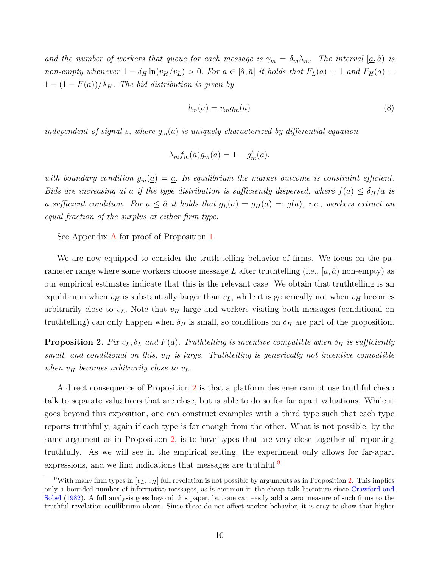and the number of workers that queue for each message is  $\gamma_m = \delta_m \lambda_m$ . The interval  $[\underline{a}, \hat{a}]$  is non-empty whenever  $1 - \delta_H \ln(v_H/v_L) > 0$ . For  $a \in [\hat{a}, \bar{a}]$  it holds that  $F_L(a) = 1$  and  $F_H(a) =$  $1 - (1 - F(a))/\lambda_H$ . The bid distribution is given by

<span id="page-10-1"></span>
$$
b_m(a) = v_m g_m(a) \tag{8}
$$

independent of signal s, where  $g_m(a)$  is uniquely characterized by differential equation

$$
\lambda_m f_m(a) g_m(a) = 1 - g'_m(a).
$$

with boundary condition  $g_m(\underline{a}) = \underline{a}$ . In equilibrium the market outcome is constraint efficient. Bids are increasing at a if the type distribution is sufficiently dispersed, where  $f(a) \leq \delta_H/a$  is a sufficient condition. For  $a \leq \hat{a}$  it holds that  $g_L(a) = g_H(a) =: g(a), i.e.,$  workers extract an equal fraction of the surplus at either firm type.

See [A](#page-44-0)ppendix A for proof of Proposition [1.](#page-9-1)

We are now equipped to consider the truth-telling behavior of firms. We focus on the parameter range where some workers choose message L after truthtelling (i.e.,  $[a, \hat{a})$  non-empty) as our empirical estimates indicate that this is the relevant case. We obtain that truthtelling is an equilibrium when  $v_H$  is substantially larger than  $v_L$ , while it is generically not when  $v_H$  becomes arbitrarily close to  $v<sub>L</sub>$ . Note that  $v<sub>H</sub>$  large and workers visiting both messages (conditional on truthtelling) can only happen when  $\delta_H$  is small, so conditions on  $\delta_H$  are part of the proposition.

<span id="page-10-0"></span>**Proposition 2.** Fix  $v_L$ ,  $\delta_L$  and  $F(a)$ . Truthtelling is incentive compatible when  $\delta_H$  is sufficiently small, and conditional on this,  $v_H$  is large. Truthtelling is generically not incentive compatible when  $v_H$  becomes arbitrarily close to  $v_L$ .

A direct consequence of Proposition [2](#page-10-0) is that a platform designer cannot use truthful cheap talk to separate valuations that are close, but is able to do so for far apart valuations. While it goes beyond this exposition, one can construct examples with a third type such that each type reports truthfully, again if each type is far enough from the other. What is not possible, by the same argument as in Proposition [2,](#page-10-0) is to have types that are very close together all reporting truthfully. As we will see in the empirical setting, the experiment only allows for far-apart expressions, and we find indications that messages are truthful.<sup>[9](#page-0-0)</sup>

<sup>&</sup>lt;sup>9</sup>With many firm types in  $[v_L, v_H]$  full revelation is not possible by arguments as in Proposition [2.](#page-10-0) This implies only a bounded number of informative messages, as is common in the cheap talk literature since [Crawford and](#page-40-0) [Sobel](#page-40-0) [\(1982\)](#page-40-0). A full analysis goes beyond this paper, but one can easily add a zero measure of such firms to the truthful revelation equilibrium above. Since these do not affect worker behavior, it is easy to show that higher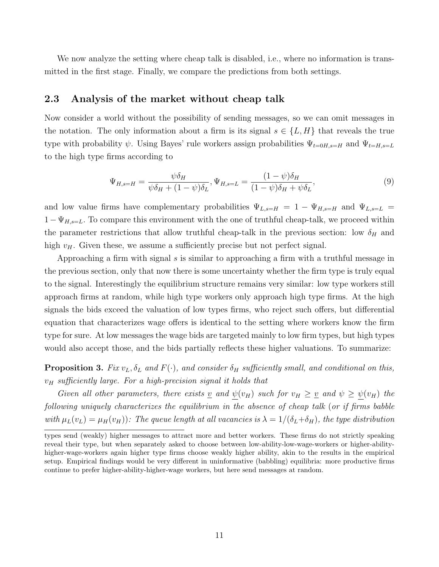We now analyze the setting where cheap talk is disabled, i.e., where no information is transmitted in the first stage. Finally, we compare the predictions from both settings.

### 2.3 Analysis of the market without cheap talk

Now consider a world without the possibility of sending messages, so we can omit messages in the notation. The only information about a firm is its signal  $s \in \{L, H\}$  that reveals the true type with probability  $\psi$ . Using Bayes' rule workers assign probabilities  $\Psi_{t=0H,s=H}$  and  $\Psi_{t=H,s=L}$ to the high type firms according to

<span id="page-11-1"></span>
$$
\Psi_{H,s=H} = \frac{\psi \delta_H}{\psi \delta_H + (1 - \psi)\delta_L}, \Psi_{H,s=L} = \frac{(1 - \psi)\delta_H}{(1 - \psi)\delta_H + \psi \delta_L},\tag{9}
$$

and low value firms have complementary probabilities  $\Psi_{L,s=H} = 1 - \Psi_{H,s=H}$  and  $\Psi_{L,s=L}$  $1-\Psi_{H,s=L}$ . To compare this environment with the one of truthful cheap-talk, we proceed within the parameter restrictions that allow truthful cheap-talk in the previous section: low  $\delta_H$  and high  $v_H$ . Given these, we assume a sufficiently precise but not perfect signal.

Approaching a firm with signal s is similar to approaching a firm with a truthful message in the previous section, only that now there is some uncertainty whether the firm type is truly equal to the signal. Interestingly the equilibrium structure remains very similar: low type workers still approach firms at random, while high type workers only approach high type firms. At the high signals the bids exceed the valuation of low types firms, who reject such offers, but differential equation that characterizes wage offers is identical to the setting where workers know the firm type for sure. At low messages the wage bids are targeted mainly to low firm types, but high types would also accept those, and the bids partially reflects these higher valuations. To summarize:

<span id="page-11-0"></span>**Proposition 3.** Fix  $v_L$ ,  $\delta_L$  and  $F(\cdot)$ , and consider  $\delta_H$  sufficiently small, and conditional on this,  $v_H$  sufficiently large. For a high-precision signal it holds that

Given all other parameters, there exists <u>v</u> and  $\psi(v_H)$  such for  $v_H \ge v$  and  $\psi \ge \psi(v_H)$  the following uniquely characterizes the equilibrium in the absence of cheap talk (or if firms babble with  $\mu_L(v_L) = \mu_H(v_H)$ ): The queue length at all vacancies is  $\lambda = 1/(\delta_L + \delta_H)$ , the type distribution

types send (weakly) higher messages to attract more and better workers. These firms do not strictly speaking reveal their type, but when separately asked to choose between low-ability-low-wage-workers or higher-abilityhigher-wage-workers again higher type firms choose weakly higher ability, akin to the results in the empirical setup. Empirical findings would be very different in uninformative (babbling) equilibria: more productive firms continue to prefer higher-ability-higher-wage workers, but here send messages at random.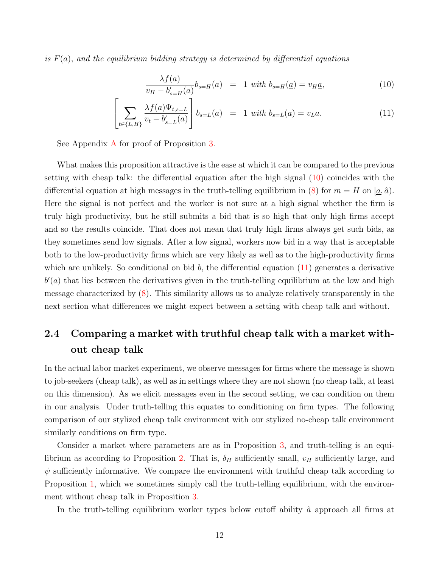is  $F(a)$ , and the equilibrium bidding strategy is determined by differential equations

<span id="page-12-0"></span>
$$
\frac{\lambda f(a)}{v_H - b'_{s=H}(a)} b_{s=H}(a) = 1 \text{ with } b_{s=H}(\underline{a}) = v_H \underline{a}, \tag{10}
$$

$$
\left[\sum_{t\in\{L,H\}} \frac{\lambda f(a)\Psi_{t,s=L}}{v_t - b'_{s=L}(a)}\right] b_{s=L}(a) = 1 \text{ with } b_{s=L}(\underline{a}) = v_L \underline{a}.
$$
 (11)

See [A](#page-44-0)ppendix A for proof of Proposition [3.](#page-11-0)

What makes this proposition attractive is the ease at which it can be compared to the previous setting with cheap talk: the differential equation after the high signal [\(10\)](#page-12-0) coincides with the differential equation at high messages in the truth-telling equilibrium in [\(8\)](#page-10-1) for  $m = H$  on  $(a, \hat{a})$ . Here the signal is not perfect and the worker is not sure at a high signal whether the firm is truly high productivity, but he still submits a bid that is so high that only high firms accept and so the results coincide. That does not mean that truly high firms always get such bids, as they sometimes send low signals. After a low signal, workers now bid in a way that is acceptable both to the low-productivity firms which are very likely as well as to the high-productivity firms which are unlikely. So conditional on bid  $b$ , the differential equation  $(11)$  generates a derivative  $b'(a)$  that lies between the derivatives given in the truth-telling equilibrium at the low and high message characterized by [\(8\)](#page-10-1). This similarity allows us to analyze relatively transparently in the next section what differences we might expect between a setting with cheap talk and without.

# 2.4 Comparing a market with truthful cheap talk with a market without cheap talk

In the actual labor market experiment, we observe messages for firms where the message is shown to job-seekers (cheap talk), as well as in settings where they are not shown (no cheap talk, at least on this dimension). As we elicit messages even in the second setting, we can condition on them in our analysis. Under truth-telling this equates to conditioning on firm types. The following comparison of our stylized cheap talk environment with our stylized no-cheap talk environment similarly conditions on firm type.

Consider a market where parameters are as in Proposition [3,](#page-11-0) and truth-telling is an equi-librium as according to Proposition [2.](#page-10-0) That is,  $\delta_H$  sufficiently small,  $v_H$  sufficiently large, and  $\psi$  sufficiently informative. We compare the environment with truthful cheap talk according to Proposition [1,](#page-9-1) which we sometimes simply call the truth-telling equilibrium, with the environment without cheap talk in Proposition [3.](#page-11-0)

In the truth-telling equilibrium worker types below cutoff ability  $\hat{a}$  approach all firms at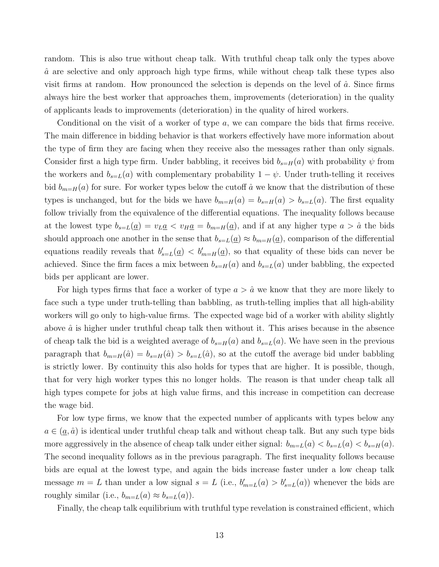random. This is also true without cheap talk. With truthful cheap talk only the types above  $\hat{a}$  are selective and only approach high type firms, while without cheap talk these types also visit firms at random. How pronounced the selection is depends on the level of  $\hat{a}$ . Since firms always hire the best worker that approaches them, improvements (deterioration) in the quality of applicants leads to improvements (deterioration) in the quality of hired workers.

Conditional on the visit of a worker of type a, we can compare the bids that firms receive. The main difference in bidding behavior is that workers effectively have more information about the type of firm they are facing when they receive also the messages rather than only signals. Consider first a high type firm. Under babbling, it receives bid  $b_{s=H}(a)$  with probability  $\psi$  from the workers and  $b_{s=L}(a)$  with complementary probability  $1 - \psi$ . Under truth-telling it receives bid  $b_{m=H}(a)$  for sure. For worker types below the cutoff  $\hat{a}$  we know that the distribution of these types is unchanged, but for the bids we have  $b_{m=H}(a) = b_{s=H}(a) > b_{s=L}(a)$ . The first equality follow trivially from the equivalence of the differential equations. The inequality follows because at the lowest type  $b_{s=L}(\underline{a}) = v_L \underline{a} < v_H \underline{a} = b_{m=H}(\underline{a})$ , and if at any higher type  $a > \hat{a}$  the bids should approach one another in the sense that  $b_{s=L}(\underline{a}) \approx b_{m=H}(\underline{a})$ , comparison of the differential equations readily reveals that  $b'_{s=L}(\underline{a}) < b'_{m=H}(\underline{a})$ , so that equality of these bids can never be achieved. Since the firm faces a mix between  $b_{s=H}(a)$  and  $b_{s=L}(a)$  under babbling, the expected bids per applicant are lower.

For high types firms that face a worker of type  $a > \hat{a}$  we know that they are more likely to face such a type under truth-telling than babbling, as truth-telling implies that all high-ability workers will go only to high-value firms. The expected wage bid of a worker with ability slightly above  $\hat{a}$  is higher under truthful cheap talk then without it. This arises because in the absence of cheap talk the bid is a weighted average of  $b_{s=H}(a)$  and  $b_{s=L}(a)$ . We have seen in the previous paragraph that  $b_{m=H}(\hat{a}) = b_{s=H}(\hat{a}) > b_{s=L}(\hat{a})$ , so at the cutoff the average bid under babbling is strictly lower. By continuity this also holds for types that are higher. It is possible, though, that for very high worker types this no longer holds. The reason is that under cheap talk all high types compete for jobs at high value firms, and this increase in competition can decrease the wage bid.

For low type firms, we know that the expected number of applicants with types below any  $a \in (\underline{a}, \hat{a})$  is identical under truthful cheap talk and without cheap talk. But any such type bids more aggressively in the absence of cheap talk under either signal:  $b_{m=L}(a) < b_{s=L}(a) < b_{s=H}(a)$ . The second inequality follows as in the previous paragraph. The first inequality follows because bids are equal at the lowest type, and again the bids increase faster under a low cheap talk message  $m = L$  than under a low signal  $s = L$  (i.e.,  $b'_{m=L}(a) > b'_{s=L}(a)$ ) whenever the bids are roughly similar (i.e.,  $b_{m=L}(a) \approx b_{s=L}(a)$ ).

Finally, the cheap talk equilibrium with truthful type revelation is constrained efficient, which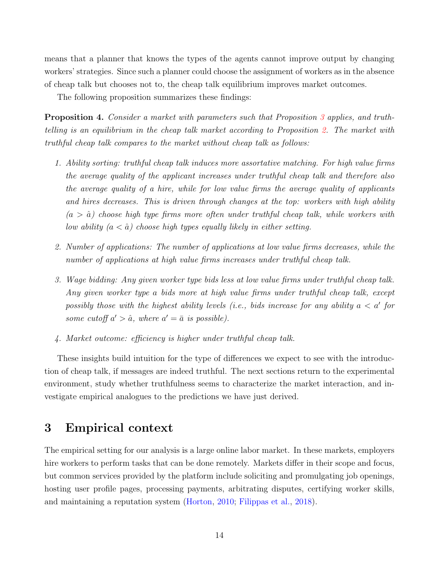means that a planner that knows the types of the agents cannot improve output by changing workers' strategies. Since such a planner could choose the assignment of workers as in the absence of cheap talk but chooses not to, the cheap talk equilibrium improves market outcomes.

The following proposition summarizes these findings:

<span id="page-14-1"></span>Proposition 4. Consider a market with parameters such that Proposition [3](#page-11-0) applies, and truthtelling is an equilibrium in the cheap talk market according to Proposition [2.](#page-10-0) The market with truthful cheap talk compares to the market without cheap talk as follows:

- 1. Ability sorting: truthful cheap talk induces more assortative matching. For high value firms the average quality of the applicant increases under truthful cheap talk and therefore also the average quality of a hire, while for low value firms the average quality of applicants and hires decreases. This is driven through changes at the top: workers with high ability  $(a > \hat{a})$  choose high type firms more often under truthful cheap talk, while workers with low ability  $(a < \hat{a})$  choose high types equally likely in either setting.
- 2. Number of applications: The number of applications at low value firms decreases, while the number of applications at high value firms increases under truthful cheap talk.
- 3. Wage bidding: Any given worker type bids less at low value firms under truthful cheap talk. Any given worker type a bids more at high value firms under truthful cheap talk, except possibly those with the highest ability levels (i.e., bids increase for any ability  $a < a'$  for some cutoff  $a' > \hat{a}$ , where  $a' = \bar{a}$  is possible).
- 4. Market outcome: efficiency is higher under truthful cheap talk.

These insights build intuition for the type of differences we expect to see with the introduction of cheap talk, if messages are indeed truthful. The next sections return to the experimental environment, study whether truthfulness seems to characterize the market interaction, and investigate empirical analogues to the predictions we have just derived.

# <span id="page-14-0"></span>3 Empirical context

The empirical setting for our analysis is a large online labor market. In these markets, employers hire workers to perform tasks that can be done remotely. Markets differ in their scope and focus, but common services provided by the platform include soliciting and promulgating job openings, hosting user profile pages, processing payments, arbitrating disputes, certifying worker skills, and maintaining a reputation system [\(Horton,](#page-41-2) [2010;](#page-41-2) [Filippas et al.,](#page-40-8) [2018\)](#page-40-8).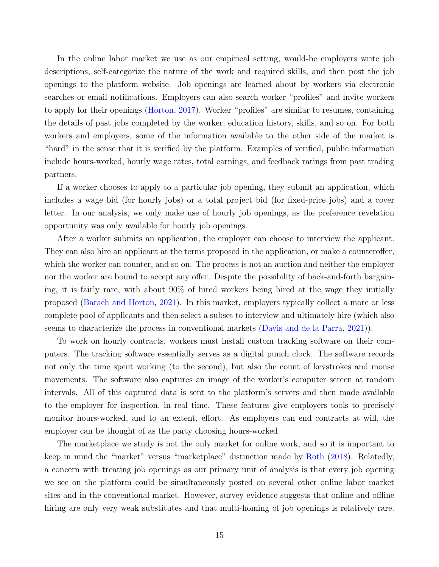In the online labor market we use as our empirical setting, would-be employers write job descriptions, self-categorize the nature of the work and required skills, and then post the job openings to the platform website. Job openings are learned about by workers via electronic searches or email notifications. Employers can also search worker "profiles" and invite workers to apply for their openings [\(Horton,](#page-41-7) [2017\)](#page-41-7). Worker "profiles" are similar to resumes, containing the details of past jobs completed by the worker, education history, skills, and so on. For both workers and employers, some of the information available to the other side of the market is "hard" in the sense that it is verified by the platform. Examples of verified, public information include hours-worked, hourly wage rates, total earnings, and feedback ratings from past trading partners.

If a worker chooses to apply to a particular job opening, they submit an application, which includes a wage bid (for hourly jobs) or a total project bid (for fixed-price jobs) and a cover letter. In our analysis, we only make use of hourly job openings, as the preference revelation opportunity was only available for hourly job openings.

After a worker submits an application, the employer can choose to interview the applicant. They can also hire an applicant at the terms proposed in the application, or make a counteroffer, which the worker can counter, and so on. The process is not an auction and neither the employer nor the worker are bound to accept any offer. Despite the possibility of back-and-forth bargaining, it is fairly rare, with about 90% of hired workers being hired at the wage they initially proposed [\(Barach and Horton,](#page-39-5) [2021\)](#page-39-5). In this market, employers typically collect a more or less complete pool of applicants and then select a subset to interview and ultimately hire (which also seems to characterize the process in conventional markets [\(Davis and de la Parra,](#page-40-9) [2021\)](#page-40-9)).

To work on hourly contracts, workers must install custom tracking software on their computers. The tracking software essentially serves as a digital punch clock. The software records not only the time spent working (to the second), but also the count of keystrokes and mouse movements. The software also captures an image of the worker's computer screen at random intervals. All of this captured data is sent to the platform's servers and then made available to the employer for inspection, in real time. These features give employers tools to precisely monitor hours-worked, and to an extent, effort. As employers can end contracts at will, the employer can be thought of as the party choosing hours-worked.

The marketplace we study is not the only market for online work, and so it is important to keep in mind the "market" versus "marketplace" distinction made by [Roth](#page-42-11) [\(2018\)](#page-42-11). Relatedly, a concern with treating job openings as our primary unit of analysis is that every job opening we see on the platform could be simultaneously posted on several other online labor market sites and in the conventional market. However, survey evidence suggests that online and offline hiring are only very weak substitutes and that multi-homing of job openings is relatively rare.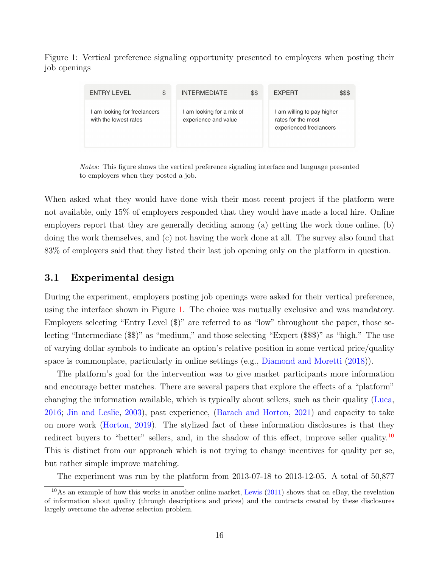<span id="page-16-0"></span>Figure 1: Vertical preference signaling opportunity presented to employers when posting their job openings

| ENTRY LEVEL                                           | \$<br><b>INTERMEDIATE</b>                         | \$\$ | <b>EXPERT</b>                                                               | \$\$\$ |
|-------------------------------------------------------|---------------------------------------------------|------|-----------------------------------------------------------------------------|--------|
| I am looking for freelancers<br>with the lowest rates | I am looking for a mix of<br>experience and value |      | I am willing to pay higher<br>rates for the most<br>experienced freelancers |        |

Notes: This figure shows the vertical preference signaling interface and language presented to employers when they posted a job.

When asked what they would have done with their most recent project if the platform were not available, only 15% of employers responded that they would have made a local hire. Online employers report that they are generally deciding among (a) getting the work done online, (b) doing the work themselves, and (c) not having the work done at all. The survey also found that 83% of employers said that they listed their last job opening only on the platform in question.

### 3.1 Experimental design

During the experiment, employers posting job openings were asked for their vertical preference, using the interface shown in Figure [1.](#page-16-0) The choice was mutually exclusive and was mandatory. Employers selecting "Entry Level (\$)" are referred to as "low" throughout the paper, those selecting "Intermediate (\$\$)" as "medium," and those selecting "Expert (\$\$\$)" as "high." The use of varying dollar symbols to indicate an option's relative position in some vertical price/quality space is commonplace, particularly in online settings (e.g., [Diamond and Moretti](#page-40-10) [\(2018\)](#page-40-10)).

The platform's goal for the intervention was to give market participants more information and encourage better matches. There are several papers that explore the effects of a "platform" changing the information available, which is typically about sellers, such as their quality [\(Luca,](#page-42-12) [2016;](#page-42-12) [Jin and Leslie,](#page-41-9) [2003\)](#page-41-9), past experience, [\(Barach and Horton,](#page-39-5) [2021\)](#page-39-5) and capacity to take on more work [\(Horton,](#page-41-10) [2019\)](#page-41-10). The stylized fact of these information disclosures is that they redirect buyers to "better" sellers, and, in the shadow of this effect, improve seller quality.<sup>[10](#page-0-0)</sup> This is distinct from our approach which is not trying to change incentives for quality per se, but rather simple improve matching.

The experiment was run by the platform from 2013-07-18 to 2013-12-05. A total of 50,877

<sup>10</sup>As an example of how this works in another online market, [Lewis](#page-41-11) [\(2011\)](#page-41-11) shows that on eBay, the revelation of information about quality (through descriptions and prices) and the contracts created by these disclosures largely overcome the adverse selection problem.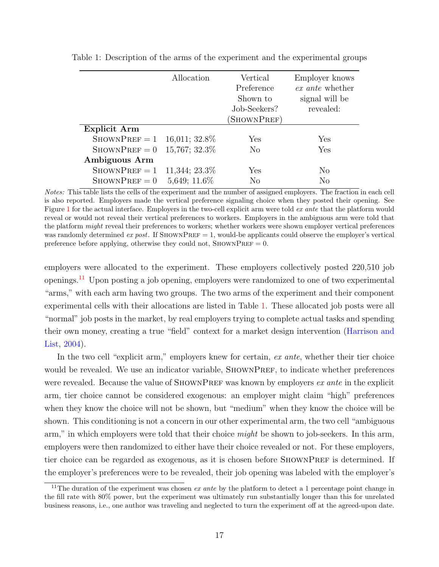|                | Allocation       | Vertical<br>Preference<br>Shown to<br>Job-Seekers? | Employer knows<br>ex ante whether<br>signal will be<br>revealed: |
|----------------|------------------|----------------------------------------------------|------------------------------------------------------------------|
|                |                  | SHOWNPREF)                                         |                                                                  |
| Explicit Arm   |                  |                                                    |                                                                  |
| $ShowPREF=1$   | $16,011; 32.8\%$ | Yes                                                | Yes                                                              |
| $ShowPREF=0$   | 15,767; 32.3%    | $\rm No$                                           | Yes                                                              |
| Ambiguous Arm  |                  |                                                    |                                                                  |
| $ShowPREF = 1$ | 11,344; 23.3%    | Yes                                                | No                                                               |
| $ShowPREF=0$   | 5,649; 11.6%     | $\rm No$                                           | No                                                               |

<span id="page-17-0"></span>Table 1: Description of the arms of the experiment and the experimental groups

Notes: This table lists the cells of the experiment and the number of assigned employers. The fraction in each cell is also reported. Employers made the vertical preference signaling choice when they posted their opening. See Figure [1](#page-16-0) for the actual interface. Employers in the two-cell explicit arm were told ex ante that the platform would reveal or would not reveal their vertical preferences to workers. Employers in the ambiguous arm were told that the platform *might* reveal their preferences to workers; whether workers were shown employer vertical preferences was randomly determined ex post. If SHOWNPREF  $= 1$ , would-be applicants could observe the employer's vertical preference before applying, otherwise they could not,  $ShowPREF = 0$ .

employers were allocated to the experiment. These employers collectively posted 220,510 job openings.[11](#page-0-0) Upon posting a job opening, employers were randomized to one of two experimental "arms," with each arm having two groups. The two arms of the experiment and their component experimental cells with their allocations are listed in Table [1.](#page-17-0) These allocated job posts were all "normal" job posts in the market, by real employers trying to complete actual tasks and spending their own money, creating a true "field" context for a market design intervention [\(Harrison and](#page-41-12) [List,](#page-41-12) [2004\)](#page-41-12).

In the two cell "explicit arm," employers knew for certain, ex ante, whether their tier choice would be revealed. We use an indicator variable, SHOWNPREF, to indicate whether preferences were revealed. Because the value of SHOWNPREF was known by employers ex ante in the explicit arm, tier choice cannot be considered exogenous: an employer might claim "high" preferences when they know the choice will not be shown, but "medium" when they know the choice will be shown. This conditioning is not a concern in our other experimental arm, the two cell "ambiguous arm," in which employers were told that their choice *might* be shown to job-seekers. In this arm, employers were then randomized to either have their choice revealed or not. For these employers, tier choice can be regarded as exogenous, as it is chosen before SHOWNPREF is determined. If the employer's preferences were to be revealed, their job opening was labeled with the employer's

<sup>&</sup>lt;sup>11</sup>The duration of the experiment was chosen *ex ante* by the platform to detect a 1 percentage point change in the fill rate with 80% power, but the experiment was ultimately run substantially longer than this for unrelated business reasons, i.e., one author was traveling and neglected to turn the experiment off at the agreed-upon date.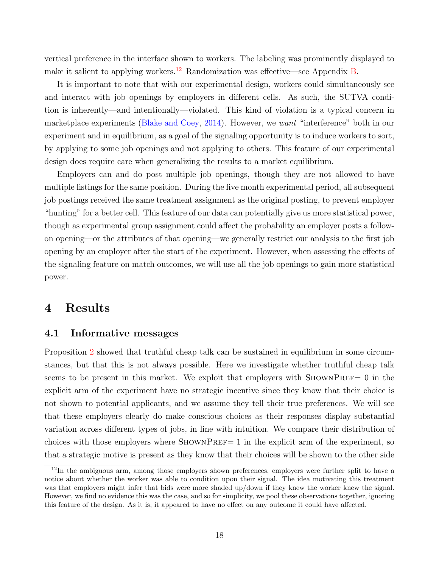vertical preference in the interface shown to workers. The labeling was prominently displayed to make it salient to applying workers.<sup>[12](#page-0-0)</sup> Randomization was effective—see Appendix [B.](#page-52-0)

It is important to note that with our experimental design, workers could simultaneously see and interact with job openings by employers in different cells. As such, the SUTVA condition is inherently—and intentionally—violated. This kind of violation is a typical concern in marketplace experiments [\(Blake and Coey,](#page-40-11) [2014\)](#page-40-11). However, we want "interference" both in our experiment and in equilibrium, as a goal of the signaling opportunity is to induce workers to sort, by applying to some job openings and not applying to others. This feature of our experimental design does require care when generalizing the results to a market equilibrium.

Employers can and do post multiple job openings, though they are not allowed to have multiple listings for the same position. During the five month experimental period, all subsequent job postings received the same treatment assignment as the original posting, to prevent employer "hunting" for a better cell. This feature of our data can potentially give us more statistical power, though as experimental group assignment could affect the probability an employer posts a followon opening—or the attributes of that opening—we generally restrict our analysis to the first job opening by an employer after the start of the experiment. However, when assessing the effects of the signaling feature on match outcomes, we will use all the job openings to gain more statistical power.

# <span id="page-18-0"></span>4 Results

### 4.1 Informative messages

Proposition [2](#page-10-0) showed that truthful cheap talk can be sustained in equilibrium in some circumstances, but that this is not always possible. Here we investigate whether truthful cheap talk seems to be present in this market. We exploit that employers with  $\text{StownPREF}=0$  in the explicit arm of the experiment have no strategic incentive since they know that their choice is not shown to potential applicants, and we assume they tell their true preferences. We will see that these employers clearly do make conscious choices as their responses display substantial variation across different types of jobs, in line with intuition. We compare their distribution of choices with those employers where  $SHOWNPREF= 1$  in the explicit arm of the experiment, so that a strategic motive is present as they know that their choices will be shown to the other side

<sup>&</sup>lt;sup>12</sup>In the ambiguous arm, among those employers shown preferences, employers were further split to have a notice about whether the worker was able to condition upon their signal. The idea motivating this treatment was that employers might infer that bids were more shaded up/down if they knew the worker knew the signal. However, we find no evidence this was the case, and so for simplicity, we pool these observations together, ignoring this feature of the design. As it is, it appeared to have no effect on any outcome it could have affected.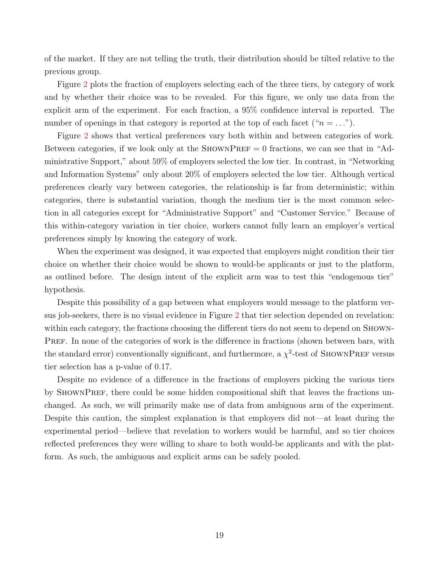of the market. If they are not telling the truth, their distribution should be tilted relative to the previous group.

Figure [2](#page-20-0) plots the fraction of employers selecting each of the three tiers, by category of work and by whether their choice was to be revealed. For this figure, we only use data from the explicit arm of the experiment. For each fraction, a 95% confidence interval is reported. The number of openings in that category is reported at the top of each facet (" $n = ...$ ").

Figure [2](#page-20-0) shows that vertical preferences vary both within and between categories of work. Between categories, if we look only at the SHOWNPREF  $= 0$  fractions, we can see that in "Administrative Support," about 59% of employers selected the low tier. In contrast, in "Networking and Information Systems" only about 20% of employers selected the low tier. Although vertical preferences clearly vary between categories, the relationship is far from deterministic; within categories, there is substantial variation, though the medium tier is the most common selection in all categories except for "Administrative Support" and "Customer Service." Because of this within-category variation in tier choice, workers cannot fully learn an employer's vertical preferences simply by knowing the category of work.

When the experiment was designed, it was expected that employers might condition their tier choice on whether their choice would be shown to would-be applicants or just to the platform, as outlined before. The design intent of the explicit arm was to test this "endogenous tier" hypothesis.

Despite this possibility of a gap between what employers would message to the platform versus job-seekers, there is no visual evidence in Figure [2](#page-20-0) that tier selection depended on revelation: within each category, the fractions choosing the different tiers do not seem to depend on SHOWN-PREF. In none of the categories of work is the difference in fractions (shown between bars, with the standard error) conventionally significant, and furthermore, a  $\chi^2$ -test of SHOWNPREF versus tier selection has a p-value of 0.17.

Despite no evidence of a difference in the fractions of employers picking the various tiers by SHOWNPREF, there could be some hidden compositional shift that leaves the fractions unchanged. As such, we will primarily make use of data from ambiguous arm of the experiment. Despite this caution, the simplest explanation is that employers did not—at least during the experimental period—believe that revelation to workers would be harmful, and so tier choices reflected preferences they were willing to share to both would-be applicants and with the platform. As such, the ambiguous and explicit arms can be safely pooled.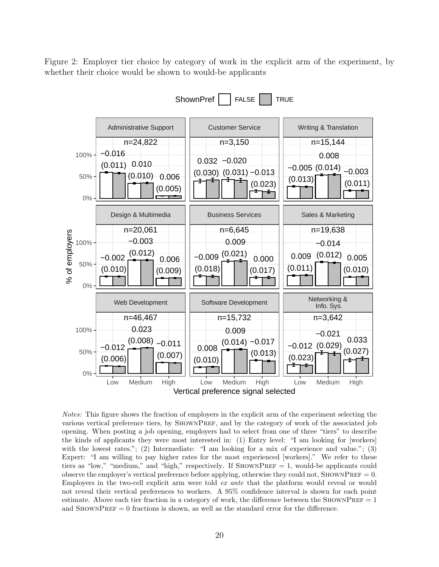<span id="page-20-0"></span>Figure 2: Employer tier choice by category of work in the explicit arm of the experiment, by whether their choice would be shown to would-be applicants



Notes: This figure shows the fraction of employers in the explicit arm of the experiment selecting the various vertical preference tiers, by SHOWNPREF, and by the category of work of the associated job opening. When posting a job opening, employers had to select from one of three "tiers" to describe the kinds of applicants they were most interested in: (1) Entry level: "I am looking for [workers] with the lowest rates."; (2) Intermediate: "I am looking for a mix of experience and value."; (3) Expert: "I am willing to pay higher rates for the most experienced [workers]." We refer to these tiers as "low," "medium," and "high," respectively. If SHOWNPREF  $= 1$ , would-be applicants could observe the employer's vertical preference before applying, otherwise they could not, SHOWNPREF  $= 0$ . Employers in the two-cell explicit arm were told ex ante that the platform would reveal or would not reveal their vertical preferences to workers. A 95% confidence interval is shown for each point estimate. Above each tier fraction in a category of work, the difference between the SHOWNPREF  $= 1$ and  $SHOWNPREF = 0$  fractions is shown, as well as the standard error for the difference.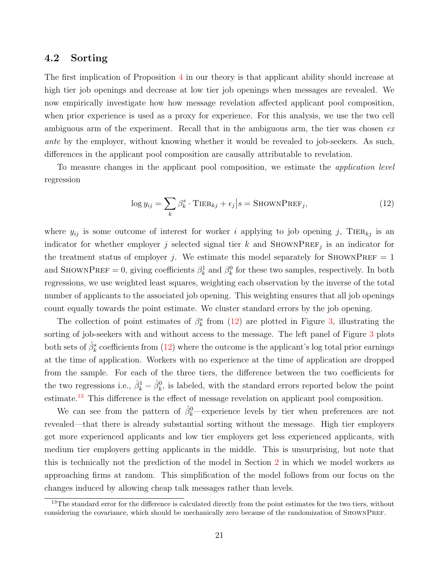### 4.2 Sorting

The first implication of Proposition [4](#page-14-1) in our theory is that applicant ability should increase at high tier job openings and decrease at low tier job openings when messages are revealed. We now empirically investigate how how message revelation affected applicant pool composition, when prior experience is used as a proxy for experience. For this analysis, we use the two cell ambiguous arm of the experiment. Recall that in the ambiguous arm, the tier was chosen  $ex$ ante by the employer, without knowing whether it would be revealed to job-seekers. As such, differences in the applicant pool composition are causally attributable to revelation.

To measure changes in the applicant pool composition, we estimate the application level regression

<span id="page-21-0"></span>
$$
\log y_{ij} = \sum_{k} \beta_k^s \cdot \text{TIER}_{kj} + \epsilon_j \Big| s = \text{SHOWNPREF}_j,\tag{12}
$$

where  $y_{ij}$  is some outcome of interest for worker i applying to job opening j, TIER<sub>kj</sub> is an indicator for whether employer j selected signal tier k and SHOWNPREF<sub>j</sub> is an indicator for the treatment status of employer j. We estimate this model separately for SHOWNPREF  $= 1$ and SHOWNPREF = 0, giving coefficients  $\beta_k^1$  and  $\beta_k^0$  for these two samples, respectively. In both regressions, we use weighted least squares, weighting each observation by the inverse of the total number of applicants to the associated job opening. This weighting ensures that all job openings count equally towards the point estimate. We cluster standard errors by the job opening.

The collection of point estimates of  $\beta_k^s$  from [\(12\)](#page-21-0) are plotted in Figure [3,](#page-22-0) illustrating the sorting of job-seekers with and without access to the message. The left panel of Figure [3](#page-22-0) plots both sets of  $\hat{\beta}_k^s$  coefficients from [\(12\)](#page-21-0) where the outcome is the applicant's log total prior earnings at the time of application. Workers with no experience at the time of application are dropped from the sample. For each of the three tiers, the difference between the two coefficients for the two regressions i.e.,  $\hat{\beta}_k^1 - \hat{\beta}_k^0$ , is labeled, with the standard errors reported below the point estimate.<sup>[13](#page-0-0)</sup> This difference is the effect of message revelation on applicant pool composition.

We can see from the pattern of  $\hat{\beta}_k^0$ —experience levels by tier when preferences are not revealed—that there is already substantial sorting without the message. High tier employers get more experienced applicants and low tier employers get less experienced applicants, with medium tier employers getting applicants in the middle. This is unsurprising, but note that this is technically not the prediction of the model in Section [2](#page-4-0) in which we model workers as approaching firms at random. This simplification of the model follows from our focus on the changes induced by allowing cheap talk messages rather than levels.

<sup>&</sup>lt;sup>13</sup>The standard error for the difference is calculated directly from the point estimates for the two tiers, without considering the covariance, which should be mechanically zero because of the randomization of ShownPref.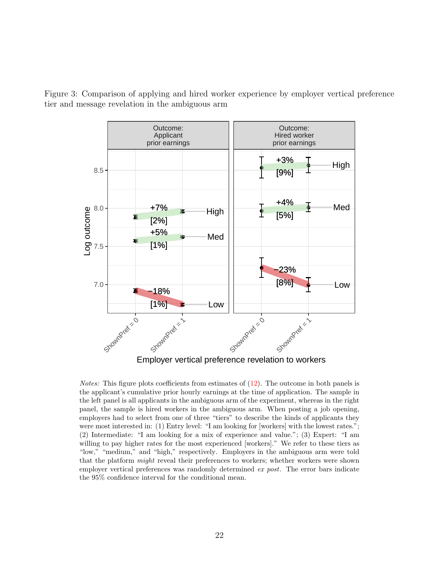<span id="page-22-0"></span>![](_page_22_Figure_0.jpeg)

![](_page_22_Figure_1.jpeg)

*Notes:* This figure plots coefficients from estimates of  $(12)$ . The outcome in both panels is the applicant's cumulative prior hourly earnings at the time of application. The sample in the left panel is all applicants in the ambiguous arm of the experiment, whereas in the right panel, the sample is hired workers in the ambiguous arm. When posting a job opening, employers had to select from one of three "tiers" to describe the kinds of applicants they were most interested in: (1) Entry level: "I am looking for [workers] with the lowest rates."; (2) Intermediate: "I am looking for a mix of experience and value."; (3) Expert: "I am willing to pay higher rates for the most experienced [workers]." We refer to these tiers as "low," "medium," and "high," respectively. Employers in the ambiguous arm were told that the platform *might* reveal their preferences to workers; whether workers were shown employer vertical preferences was randomly determined ex post. The error bars indicate the 95% confidence interval for the conditional mean.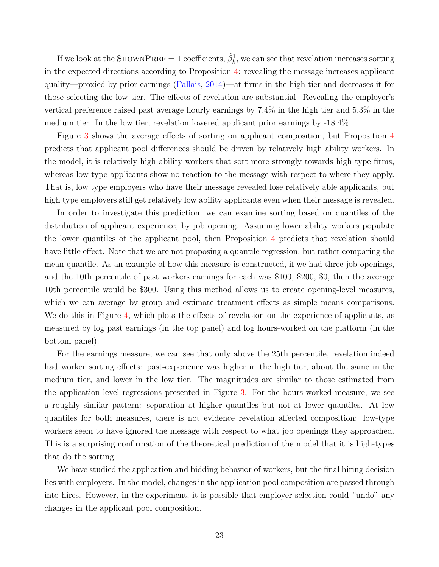If we look at the SHOWNPREF = 1 coefficients,  $\hat{\beta}_k^1$ , we can see that revelation increases sorting in the expected directions according to Proposition [4:](#page-14-1) revealing the message increases applicant quality—proxied by prior earnings [\(Pallais,](#page-42-1) [2014\)](#page-42-1)—at firms in the high tier and decreases it for those selecting the low tier. The effects of revelation are substantial. Revealing the employer's vertical preference raised past average hourly earnings by 7.4% in the high tier and 5.3% in the medium tier. In the low tier, revelation lowered applicant prior earnings by -18.4%.

Figure [3](#page-22-0) shows the average effects of sorting on applicant composition, but Proposition [4](#page-14-1) predicts that applicant pool differences should be driven by relatively high ability workers. In the model, it is relatively high ability workers that sort more strongly towards high type firms, whereas low type applicants show no reaction to the message with respect to where they apply. That is, low type employers who have their message revealed lose relatively able applicants, but high type employers still get relatively low ability applicants even when their message is revealed.

In order to investigate this prediction, we can examine sorting based on quantiles of the distribution of applicant experience, by job opening. Assuming lower ability workers populate the lower quantiles of the applicant pool, then Proposition [4](#page-14-1) predicts that revelation should have little effect. Note that we are not proposing a quantile regression, but rather comparing the mean quantile. As an example of how this measure is constructed, if we had three job openings, and the 10th percentile of past workers earnings for each was \$100, \$200, \$0, then the average 10th percentile would be \$300. Using this method allows us to create opening-level measures, which we can average by group and estimate treatment effects as simple means comparisons. We do this in Figure [4,](#page-24-0) which plots the effects of revelation on the experience of applicants, as measured by log past earnings (in the top panel) and log hours-worked on the platform (in the bottom panel).

For the earnings measure, we can see that only above the 25th percentile, revelation indeed had worker sorting effects: past-experience was higher in the high tier, about the same in the medium tier, and lower in the low tier. The magnitudes are similar to those estimated from the application-level regressions presented in Figure [3.](#page-22-0) For the hours-worked measure, we see a roughly similar pattern: separation at higher quantiles but not at lower quantiles. At low quantiles for both measures, there is not evidence revelation affected composition: low-type workers seem to have ignored the message with respect to what job openings they approached. This is a surprising confirmation of the theoretical prediction of the model that it is high-types that do the sorting.

We have studied the application and bidding behavior of workers, but the final hiring decision lies with employers. In the model, changes in the application pool composition are passed through into hires. However, in the experiment, it is possible that employer selection could "undo" any changes in the applicant pool composition.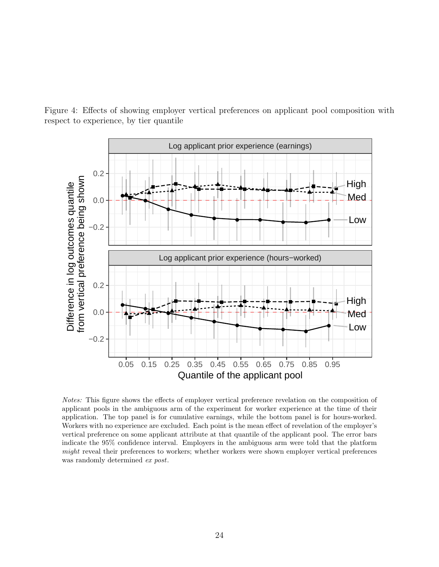<span id="page-24-0"></span>Figure 4: Effects of showing employer vertical preferences on applicant pool composition with respect to experience, by tier quantile

![](_page_24_Figure_1.jpeg)

Notes: This figure shows the effects of employer vertical preference revelation on the composition of applicant pools in the ambiguous arm of the experiment for worker experience at the time of their application. The top panel is for cumulative earnings, while the bottom panel is for hours-worked. Workers with no experience are excluded. Each point is the mean effect of revelation of the employer's vertical preference on some applicant attribute at that quantile of the applicant pool. The error bars indicate the 95% confidence interval. Employers in the ambiguous arm were told that the platform might reveal their preferences to workers; whether workers were shown employer vertical preferences was randomly determined *ex post*.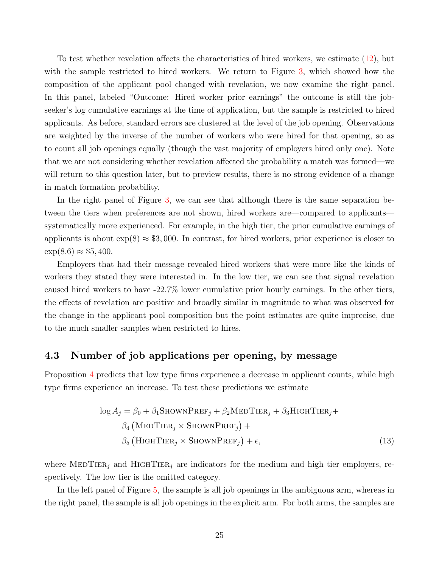To test whether revelation affects the characteristics of hired workers, we estimate [\(12\)](#page-21-0), but with the sample restricted to hired workers. We return to Figure [3,](#page-22-0) which showed how the composition of the applicant pool changed with revelation, we now examine the right panel. In this panel, labeled "Outcome: Hired worker prior earnings" the outcome is still the jobseeker's log cumulative earnings at the time of application, but the sample is restricted to hired applicants. As before, standard errors are clustered at the level of the job opening. Observations are weighted by the inverse of the number of workers who were hired for that opening, so as to count all job openings equally (though the vast majority of employers hired only one). Note that we are not considering whether revelation affected the probability a match was formed—we will return to this question later, but to preview results, there is no strong evidence of a change in match formation probability.

In the right panel of Figure [3,](#page-22-0) we can see that although there is the same separation between the tiers when preferences are not shown, hired workers are—compared to applicants systematically more experienced. For example, in the high tier, the prior cumulative earnings of applicants is about  $\exp(8) \approx $3,000$ . In contrast, for hired workers, prior experience is closer to  $\exp(8.6) \approx $5,400.$ 

Employers that had their message revealed hired workers that were more like the kinds of workers they stated they were interested in. In the low tier, we can see that signal revelation caused hired workers to have -22.7% lower cumulative prior hourly earnings. In the other tiers, the effects of revelation are positive and broadly similar in magnitude to what was observed for the change in the applicant pool composition but the point estimates are quite imprecise, due to the much smaller samples when restricted to hires.

### 4.3 Number of job applications per opening, by message

Proposition [4](#page-14-1) predicts that low type firms experience a decrease in applicant counts, while high type firms experience an increase. To test these predictions we estimate

$$
\log A_j = \beta_0 + \beta_1 \text{SHOWNPREF}_j + \beta_2 \text{MEDTIER}_j + \beta_3 \text{HIGHTIER}_j + \beta_4 \left( \text{MEDTIER}_j \times \text{SHOWNPREF}_j \right) + \beta_5 \left( \text{HighTIER}_j \times \text{SHOWNPREF}_j \right) + \epsilon,
$$
\n(13)

where MEDTIER<sub>i</sub> and HIGHTIER<sub>i</sub> are indicators for the medium and high tier employers, respectively. The low tier is the omitted category.

In the left panel of Figure [5,](#page-26-0) the sample is all job openings in the ambiguous arm, whereas in the right panel, the sample is all job openings in the explicit arm. For both arms, the samples are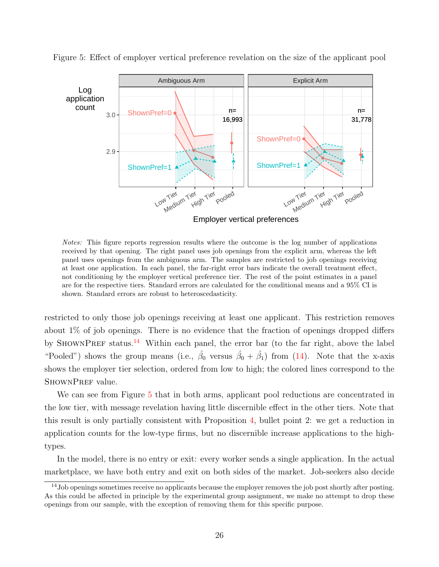![](_page_26_Figure_0.jpeg)

<span id="page-26-0"></span>Figure 5: Effect of employer vertical preference revelation on the size of the applicant pool

Notes: This figure reports regression results where the outcome is the log number of applications received by that opening. The right panel uses job openings from the explicit arm, whereas the left panel uses openings from the ambiguous arm. The samples are restricted to job openings receiving at least one application. In each panel, the far-right error bars indicate the overall treatment effect, not conditioning by the employer vertical preference tier. The rest of the point estimates in a panel are for the respective tiers. Standard errors are calculated for the conditional means and a 95% CI is shown. Standard errors are robust to heteroscedasticity.

restricted to only those job openings receiving at least one applicant. This restriction removes about 1% of job openings. There is no evidence that the fraction of openings dropped differs by SHOWNPREF status.<sup>[14](#page-0-0)</sup> Within each panel, the error bar (to the far right, above the label "Pooled") shows the group means (i.e.,  $\hat{\beta}_0$  versus  $\hat{\beta}_0 + \hat{\beta}_1$ ) from [\(14\)](#page-27-0). Note that the x-axis shows the employer tier selection, ordered from low to high; the colored lines correspond to the SHOWNPREF value.

We can see from Figure [5](#page-26-0) that in both arms, applicant pool reductions are concentrated in the low tier, with message revelation having little discernible effect in the other tiers. Note that this result is only partially consistent with Proposition [4,](#page-14-1) bullet point 2: we get a reduction in application counts for the low-type firms, but no discernible increase applications to the hightypes.

In the model, there is no entry or exit: every worker sends a single application. In the actual marketplace, we have both entry and exit on both sides of the market. Job-seekers also decide

<sup>&</sup>lt;sup>14</sup>Job openings sometimes receive no applicants because the employer removes the job post shortly after posting. As this could be affected in principle by the experimental group assignment, we make no attempt to drop these openings from our sample, with the exception of removing them for this specific purpose.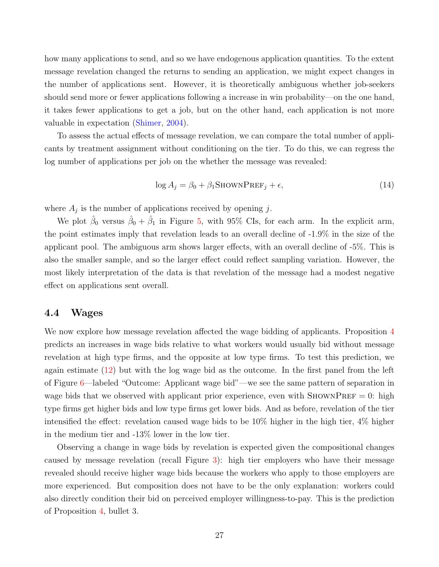how many applications to send, and so we have endogenous application quantities. To the extent message revelation changed the returns to sending an application, we might expect changes in the number of applications sent. However, it is theoretically ambiguous whether job-seekers should send more or fewer applications following a increase in win probability—on the one hand, it takes fewer applications to get a job, but on the other hand, each application is not more valuable in expectation [\(Shimer,](#page-42-13) [2004\)](#page-42-13).

To assess the actual effects of message revelation, we can compare the total number of applicants by treatment assignment without conditioning on the tier. To do this, we can regress the log number of applications per job on the whether the message was revealed:

<span id="page-27-0"></span>
$$
\log A_j = \beta_0 + \beta_1 \text{SHOWNPREF}_j + \epsilon,\tag{14}
$$

where  $A_j$  is the number of applications received by opening j.

We plot  $\hat{\beta}_0$  versus  $\hat{\beta}_0 + \hat{\beta}_1$  in Figure [5,](#page-26-0) with 95% CIs, for each arm. In the explicit arm, the point estimates imply that revelation leads to an overall decline of -1.9% in the size of the applicant pool. The ambiguous arm shows larger effects, with an overall decline of -5%. This is also the smaller sample, and so the larger effect could reflect sampling variation. However, the most likely interpretation of the data is that revelation of the message had a modest negative effect on applications sent overall.

### 4.4 Wages

We now explore how message revelation affected the wage bidding of applicants. Proposition [4](#page-14-1) predicts an increases in wage bids relative to what workers would usually bid without message revelation at high type firms, and the opposite at low type firms. To test this prediction, we again estimate [\(12\)](#page-21-0) but with the log wage bid as the outcome. In the first panel from the left of Figure [6—](#page-28-0)labeled "Outcome: Applicant wage bid"—we see the same pattern of separation in wage bids that we observed with applicant prior experience, even with SHOWNPREF  $= 0$ : high type firms get higher bids and low type firms get lower bids. And as before, revelation of the tier intensified the effect: revelation caused wage bids to be 10% higher in the high tier, 4% higher in the medium tier and -13% lower in the low tier.

Observing a change in wage bids by revelation is expected given the compositional changes caused by message revelation (recall Figure [3\)](#page-22-0): high tier employers who have their message revealed should receive higher wage bids because the workers who apply to those employers are more experienced. But composition does not have to be the only explanation: workers could also directly condition their bid on perceived employer willingness-to-pay. This is the prediction of Proposition [4,](#page-14-1) bullet 3.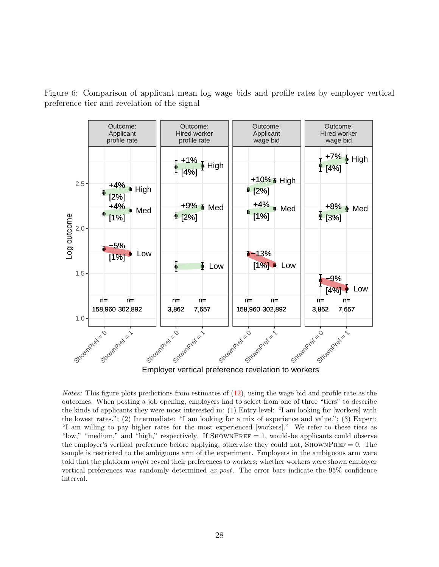<span id="page-28-0"></span>Figure 6: Comparison of applicant mean log wage bids and profile rates by employer vertical preference tier and revelation of the signal

![](_page_28_Figure_1.jpeg)

*Notes:* This figure plots predictions from estimates of  $(12)$ , using the wage bid and profile rate as the outcomes. When posting a job opening, employers had to select from one of three "tiers" to describe the kinds of applicants they were most interested in: (1) Entry level: "I am looking for [workers] with the lowest rates."; (2) Intermediate: "I am looking for a mix of experience and value."; (3) Expert: "I am willing to pay higher rates for the most experienced [workers]." We refer to these tiers as "low," "medium," and "high," respectively. If  $ShowPREF = 1$ , would-be applicants could observe the employer's vertical preference before applying, otherwise they could not,  $\text{StownPREF}=0$ . The sample is restricted to the ambiguous arm of the experiment. Employers in the ambiguous arm were told that the platform *might* reveal their preferences to workers; whether workers were shown employer vertical preferences was randomly determined ex post. The error bars indicate the 95% confidence interval.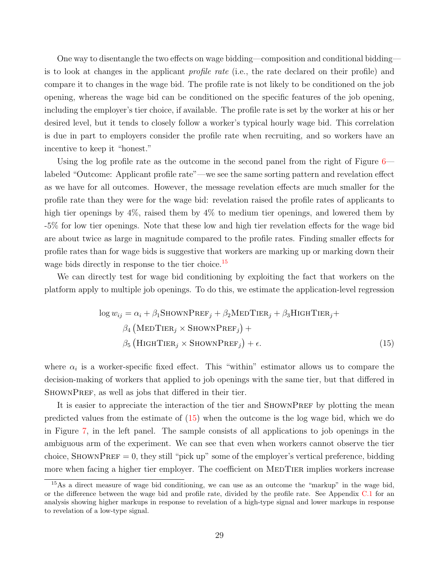One way to disentangle the two effects on wage bidding—composition and conditional bidding is to look at changes in the applicant profile rate (i.e., the rate declared on their profile) and compare it to changes in the wage bid. The profile rate is not likely to be conditioned on the job opening, whereas the wage bid can be conditioned on the specific features of the job opening, including the employer's tier choice, if available. The profile rate is set by the worker at his or her desired level, but it tends to closely follow a worker's typical hourly wage bid. This correlation is due in part to employers consider the profile rate when recruiting, and so workers have an incentive to keep it "honest."

Using the log profile rate as the outcome in the second panel from the right of Figure  $6$ labeled "Outcome: Applicant profile rate"—we see the same sorting pattern and revelation effect as we have for all outcomes. However, the message revelation effects are much smaller for the profile rate than they were for the wage bid: revelation raised the profile rates of applicants to high tier openings by 4%, raised them by 4% to medium tier openings, and lowered them by -5% for low tier openings. Note that these low and high tier revelation effects for the wage bid are about twice as large in magnitude compared to the profile rates. Finding smaller effects for profile rates than for wage bids is suggestive that workers are marking up or marking down their wage bids directly in response to the tier choice.<sup>[15](#page-0-0)</sup>

We can directly test for wage bid conditioning by exploiting the fact that workers on the platform apply to multiple job openings. To do this, we estimate the application-level regression

<span id="page-29-0"></span>
$$
\log w_{ij} = \alpha_i + \beta_1 \text{SHOWNPREF}_j + \beta_2 \text{MEDTIER}_j + \beta_3 \text{HIGHTIER}_j + \beta_4 \left( \text{MEDTIER}_j \times \text{SHOWNPREF}_j \right) + \beta_5 \left( \text{HIGHTIER}_j \times \text{SHOWNPREF}_j \right) + \epsilon.
$$
 (15)

where  $\alpha_i$  is a worker-specific fixed effect. This "within" estimator allows us to compare the decision-making of workers that applied to job openings with the same tier, but that differed in SHOWNPREF, as well as jobs that differed in their tier.

It is easier to appreciate the interaction of the tier and SHOWNPREF by plotting the mean predicted values from the estimate of [\(15\)](#page-29-0) when the outcome is the log wage bid, which we do in Figure [7,](#page-30-0) in the left panel. The sample consists of all applications to job openings in the ambiguous arm of the experiment. We can see that even when workers cannot observe the tier choice, SHOWNPREF = 0, they still "pick up" some of the employer's vertical preference, bidding more when facing a higher tier employer. The coefficient on MEDTIER implies workers increase

<sup>&</sup>lt;sup>15</sup>As a direct measure of wage bid conditioning, we can use as an outcome the "markup" in the wage bid, or the difference between the wage bid and profile rate, divided by the profile rate. See Appendix [C.1](#page-52-1) for an analysis showing higher markups in response to revelation of a high-type signal and lower markups in response to revelation of a low-type signal.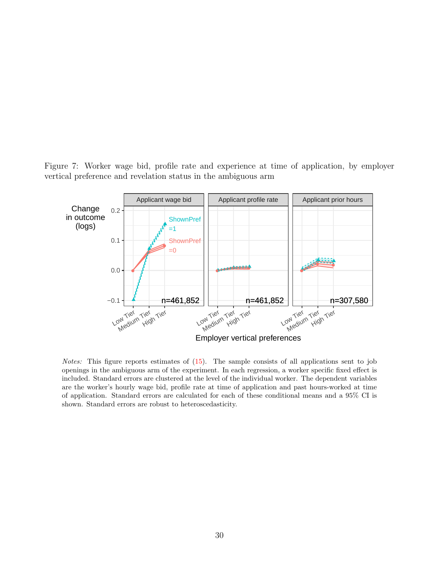<span id="page-30-0"></span>Figure 7: Worker wage bid, profile rate and experience at time of application, by employer vertical preference and revelation status in the ambiguous arm

![](_page_30_Figure_1.jpeg)

Notes: This figure reports estimates of [\(15\)](#page-29-0). The sample consists of all applications sent to job openings in the ambiguous arm of the experiment. In each regression, a worker specific fixed effect is included. Standard errors are clustered at the level of the individual worker. The dependent variables are the worker's hourly wage bid, profile rate at time of application and past hours-worked at time of application. Standard errors are calculated for each of these conditional means and a 95% CI is shown. Standard errors are robust to heteroscedasticity.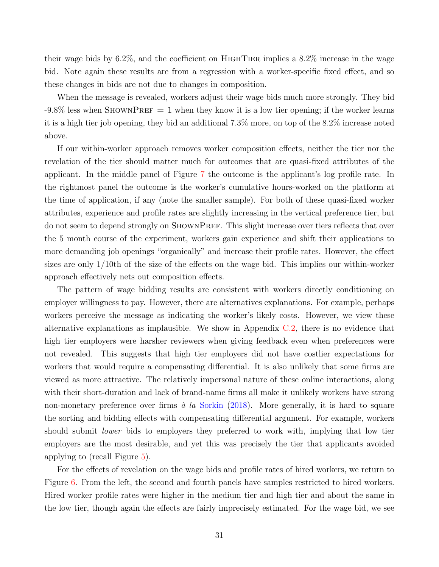their wage bids by  $6.2\%$ , and the coefficient on HIGHTIER implies a  $8.2\%$  increase in the wage bid. Note again these results are from a regression with a worker-specific fixed effect, and so these changes in bids are not due to changes in composition.

When the message is revealed, workers adjust their wage bids much more strongly. They bid  $-9.8\%$  less when SHOWNPREF = 1 when they know it is a low tier opening; if the worker learns it is a high tier job opening, they bid an additional 7.3% more, on top of the 8.2% increase noted above.

If our within-worker approach removes worker composition effects, neither the tier nor the revelation of the tier should matter much for outcomes that are quasi-fixed attributes of the applicant. In the middle panel of Figure [7](#page-30-0) the outcome is the applicant's log profile rate. In the rightmost panel the outcome is the worker's cumulative hours-worked on the platform at the time of application, if any (note the smaller sample). For both of these quasi-fixed worker attributes, experience and profile rates are slightly increasing in the vertical preference tier, but do not seem to depend strongly on ShownPref. This slight increase over tiers reflects that over the 5 month course of the experiment, workers gain experience and shift their applications to more demanding job openings "organically" and increase their profile rates. However, the effect sizes are only 1/10th of the size of the effects on the wage bid. This implies our within-worker approach effectively nets out composition effects.

The pattern of wage bidding results are consistent with workers directly conditioning on employer willingness to pay. However, there are alternatives explanations. For example, perhaps workers perceive the message as indicating the worker's likely costs. However, we view these alternative explanations as implausible. We show in Appendix [C.2,](#page-52-2) there is no evidence that high tier employers were harsher reviewers when giving feedback even when preferences were not revealed. This suggests that high tier employers did not have costlier expectations for workers that would require a compensating differential. It is also unlikely that some firms are viewed as more attractive. The relatively impersonal nature of these online interactions, along with their short-duration and lack of brand-name firms all make it unlikely workers have strong non-monetary preference over firms  $\dot{a}$  la [Sorkin](#page-42-14) [\(2018\)](#page-42-14). More generally, it is hard to square the sorting and bidding effects with compensating differential argument. For example, workers should submit *lower* bids to employers they preferred to work with, implying that low tier employers are the most desirable, and yet this was precisely the tier that applicants avoided applying to (recall Figure [5\)](#page-26-0).

For the effects of revelation on the wage bids and profile rates of hired workers, we return to Figure [6.](#page-28-0) From the left, the second and fourth panels have samples restricted to hired workers. Hired worker profile rates were higher in the medium tier and high tier and about the same in the low tier, though again the effects are fairly imprecisely estimated. For the wage bid, we see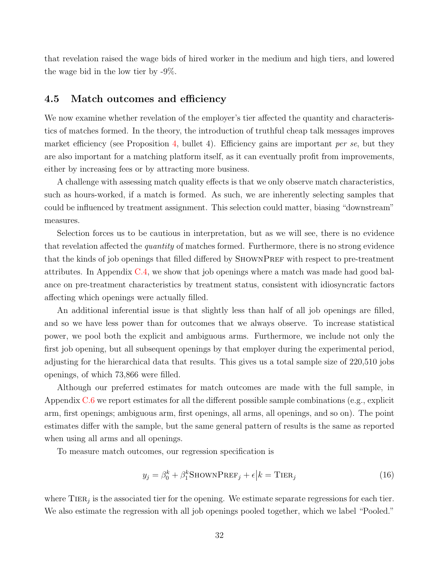that revelation raised the wage bids of hired worker in the medium and high tiers, and lowered the wage bid in the low tier by -9%.

### 4.5 Match outcomes and efficiency

We now examine whether revelation of the employer's tier affected the quantity and characteristics of matches formed. In the theory, the introduction of truthful cheap talk messages improves market efficiency (see Proposition [4,](#page-14-1) bullet 4). Efficiency gains are important *per se*, but they are also important for a matching platform itself, as it can eventually profit from improvements, either by increasing fees or by attracting more business.

A challenge with assessing match quality effects is that we only observe match characteristics, such as hours-worked, if a match is formed. As such, we are inherently selecting samples that could be influenced by treatment assignment. This selection could matter, biasing "downstream" measures.

Selection forces us to be cautious in interpretation, but as we will see, there is no evidence that revelation affected the quantity of matches formed. Furthermore, there is no strong evidence that the kinds of job openings that filled differed by SHOWNPREF with respect to pre-treatment attributes. In Appendix [C.4,](#page-58-0) we show that job openings where a match was made had good balance on pre-treatment characteristics by treatment status, consistent with idiosyncratic factors affecting which openings were actually filled.

An additional inferential issue is that slightly less than half of all job openings are filled, and so we have less power than for outcomes that we always observe. To increase statistical power, we pool both the explicit and ambiguous arms. Furthermore, we include not only the first job opening, but all subsequent openings by that employer during the experimental period, adjusting for the hierarchical data that results. This gives us a total sample size of 220,510 jobs openings, of which 73,866 were filled.

Although our preferred estimates for match outcomes are made with the full sample, in Appendix [C.6](#page-59-0) we report estimates for all the different possible sample combinations (e.g., explicit arm, first openings; ambiguous arm, first openings, all arms, all openings, and so on). The point estimates differ with the sample, but the same general pattern of results is the same as reported when using all arms and all openings.

To measure match outcomes, our regression specification is

<span id="page-32-0"></span>
$$
y_j = \beta_0^k + \beta_1^k \text{ShowPREF}_j + \epsilon \, \big| k = \text{TIER}_j \tag{16}
$$

where  $TIER_j$  is the associated tier for the opening. We estimate separate regressions for each tier. We also estimate the regression with all job openings pooled together, which we label "Pooled."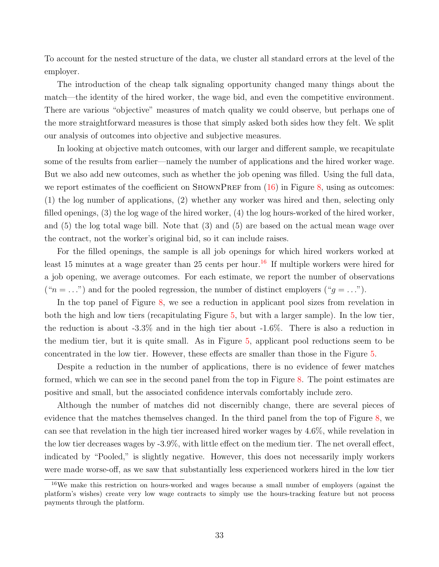To account for the nested structure of the data, we cluster all standard errors at the level of the employer.

The introduction of the cheap talk signaling opportunity changed many things about the match—the identity of the hired worker, the wage bid, and even the competitive environment. There are various "objective" measures of match quality we could observe, but perhaps one of the more straightforward measures is those that simply asked both sides how they felt. We split our analysis of outcomes into objective and subjective measures.

In looking at objective match outcomes, with our larger and different sample, we recapitulate some of the results from earlier—namely the number of applications and the hired worker wage. But we also add new outcomes, such as whether the job opening was filled. Using the full data, we report estimates of the coefficient on SHOWNPREF from  $(16)$  in Figure [8,](#page-35-0) using as outcomes: (1) the log number of applications, (2) whether any worker was hired and then, selecting only filled openings, (3) the log wage of the hired worker, (4) the log hours-worked of the hired worker, and (5) the log total wage bill. Note that (3) and (5) are based on the actual mean wage over the contract, not the worker's original bid, so it can include raises.

For the filled openings, the sample is all job openings for which hired workers worked at least 15 minutes at a wage greater than 25 cents per hour.<sup>[16](#page-0-0)</sup> If multiple workers were hired for a job opening, we average outcomes. For each estimate, we report the number of observations (" $n = \ldots$ ") and for the pooled regression, the number of distinct employers (" $g = \ldots$ ").

In the top panel of Figure [8,](#page-35-0) we see a reduction in applicant pool sizes from revelation in both the high and low tiers (recapitulating Figure [5,](#page-26-0) but with a larger sample). In the low tier, the reduction is about -3.3% and in the high tier about -1.6%. There is also a reduction in the medium tier, but it is quite small. As in Figure [5,](#page-26-0) applicant pool reductions seem to be concentrated in the low tier. However, these effects are smaller than those in the Figure [5.](#page-26-0)

Despite a reduction in the number of applications, there is no evidence of fewer matches formed, which we can see in the second panel from the top in Figure [8.](#page-35-0) The point estimates are positive and small, but the associated confidence intervals comfortably include zero.

Although the number of matches did not discernibly change, there are several pieces of evidence that the matches themselves changed. In the third panel from the top of Figure [8,](#page-35-0) we can see that revelation in the high tier increased hired worker wages by 4.6%, while revelation in the low tier decreases wages by -3.9%, with little effect on the medium tier. The net overall effect, indicated by "Pooled," is slightly negative. However, this does not necessarily imply workers were made worse-off, as we saw that substantially less experienced workers hired in the low tier

<sup>16</sup>We make this restriction on hours-worked and wages because a small number of employers (against the platform's wishes) create very low wage contracts to simply use the hours-tracking feature but not process payments through the platform.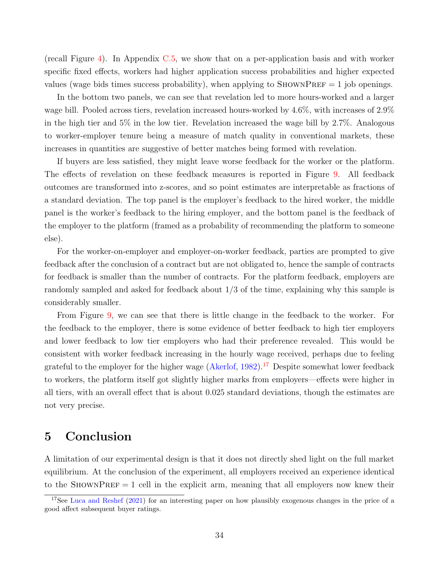(recall Figure [4\)](#page-24-0). In Appendix [C.5,](#page-59-1) we show that on a per-application basis and with worker specific fixed effects, workers had higher application success probabilities and higher expected values (wage bids times success probability), when applying to  $\text{StownPREF} = 1$  job openings.

In the bottom two panels, we can see that revelation led to more hours-worked and a larger wage bill. Pooled across tiers, revelation increased hours-worked by 4.6%, with increases of 2.9% in the high tier and 5% in the low tier. Revelation increased the wage bill by 2.7%. Analogous to worker-employer tenure being a measure of match quality in conventional markets, these increases in quantities are suggestive of better matches being formed with revelation.

If buyers are less satisfied, they might leave worse feedback for the worker or the platform. The effects of revelation on these feedback measures is reported in Figure [9.](#page-36-0) All feedback outcomes are transformed into z-scores, and so point estimates are interpretable as fractions of a standard deviation. The top panel is the employer's feedback to the hired worker, the middle panel is the worker's feedback to the hiring employer, and the bottom panel is the feedback of the employer to the platform (framed as a probability of recommending the platform to someone else).

For the worker-on-employer and employer-on-worker feedback, parties are prompted to give feedback after the conclusion of a contract but are not obligated to, hence the sample of contracts for feedback is smaller than the number of contracts. For the platform feedback, employers are randomly sampled and asked for feedback about 1/3 of the time, explaining why this sample is considerably smaller.

From Figure [9,](#page-36-0) we can see that there is little change in the feedback to the worker. For the feedback to the employer, there is some evidence of better feedback to high tier employers and lower feedback to low tier employers who had their preference revealed. This would be consistent with worker feedback increasing in the hourly wage received, perhaps due to feeling grateful to the employer for the higher wage  $(A\text{kerlof}, 1982)$  $(A\text{kerlof}, 1982)$ .<sup>[17](#page-0-0)</sup> Despite somewhat lower feedback to workers, the platform itself got slightly higher marks from employers—effects were higher in all tiers, with an overall effect that is about 0.025 standard deviations, though the estimates are not very precise.

# <span id="page-34-0"></span>5 Conclusion

A limitation of our experimental design is that it does not directly shed light on the full market equilibrium. At the conclusion of the experiment, all employers received an experience identical to the SHOWNPREF  $= 1$  cell in the explicit arm, meaning that all employers now knew their

<sup>&</sup>lt;sup>17</sup>See [Luca and Reshef](#page-42-15) [\(2021\)](#page-42-15) for an interesting paper on how plausibly exogenous changes in the price of a good affect subsequent buyer ratings.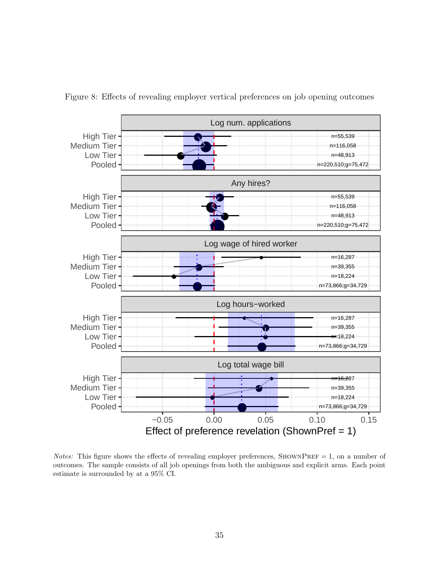<span id="page-35-0"></span>![](_page_35_Figure_0.jpeg)

Figure 8: Effects of revealing employer vertical preferences on job opening outcomes

Notes: This figure shows the effects of revealing employer preferences, SHOWNPREF = 1, on a number of outcomes. The sample consists of all job openings from both the ambiguous and explicit arms. Each point estimate is surrounded by at a 95% CI.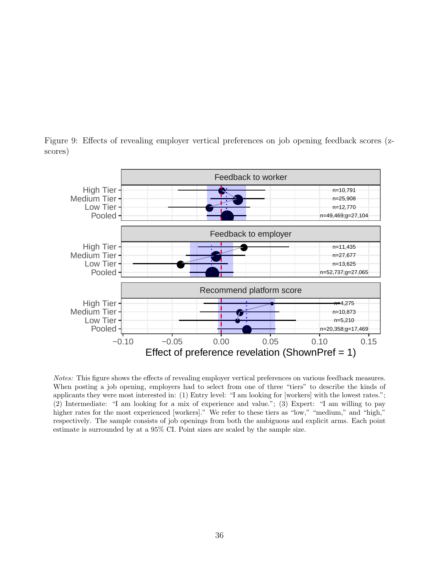![](_page_36_Figure_0.jpeg)

<span id="page-36-0"></span>Figure 9: Effects of revealing employer vertical preferences on job opening feedback scores (zscores)

Notes: This figure shows the effects of revealing employer vertical preferences on various feedback measures. When posting a job opening, employers had to select from one of three "tiers" to describe the kinds of applicants they were most interested in: (1) Entry level: "I am looking for [workers] with the lowest rates."; (2) Intermediate: "I am looking for a mix of experience and value."; (3) Expert: "I am willing to pay higher rates for the most experienced [workers]." We refer to these tiers as "low," "medium," and "high," respectively. The sample consists of job openings from both the ambiguous and explicit arms. Each point estimate is surrounded by at a 95% CI. Point sizes are scaled by the sample size.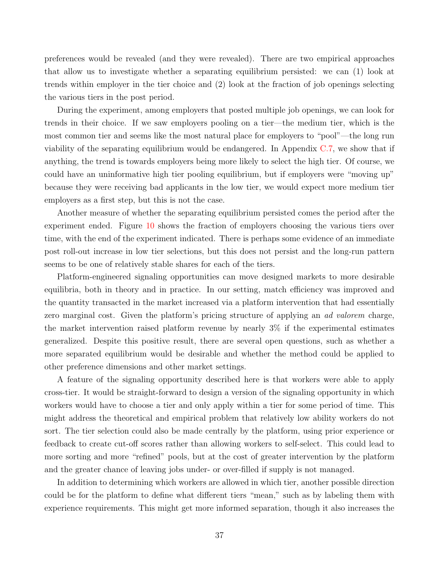preferences would be revealed (and they were revealed). There are two empirical approaches that allow us to investigate whether a separating equilibrium persisted: we can (1) look at trends within employer in the tier choice and (2) look at the fraction of job openings selecting the various tiers in the post period.

During the experiment, among employers that posted multiple job openings, we can look for trends in their choice. If we saw employers pooling on a tier—the medium tier, which is the most common tier and seems like the most natural place for employers to "pool"—the long run viability of the separating equilibrium would be endangered. In Appendix [C.7,](#page-59-2) we show that if anything, the trend is towards employers being more likely to select the high tier. Of course, we could have an uninformative high tier pooling equilibrium, but if employers were "moving up" because they were receiving bad applicants in the low tier, we would expect more medium tier employers as a first step, but this is not the case.

Another measure of whether the separating equilibrium persisted comes the period after the experiment ended. Figure [10](#page-38-0) shows the fraction of employers choosing the various tiers over time, with the end of the experiment indicated. There is perhaps some evidence of an immediate post roll-out increase in low tier selections, but this does not persist and the long-run pattern seems to be one of relatively stable shares for each of the tiers.

Platform-engineered signaling opportunities can move designed markets to more desirable equilibria, both in theory and in practice. In our setting, match efficiency was improved and the quantity transacted in the market increased via a platform intervention that had essentially zero marginal cost. Given the platform's pricing structure of applying an ad valorem charge, the market intervention raised platform revenue by nearly 3% if the experimental estimates generalized. Despite this positive result, there are several open questions, such as whether a more separated equilibrium would be desirable and whether the method could be applied to other preference dimensions and other market settings.

A feature of the signaling opportunity described here is that workers were able to apply cross-tier. It would be straight-forward to design a version of the signaling opportunity in which workers would have to choose a tier and only apply within a tier for some period of time. This might address the theoretical and empirical problem that relatively low ability workers do not sort. The tier selection could also be made centrally by the platform, using prior experience or feedback to create cut-off scores rather than allowing workers to self-select. This could lead to more sorting and more "refined" pools, but at the cost of greater intervention by the platform and the greater chance of leaving jobs under- or over-filled if supply is not managed.

In addition to determining which workers are allowed in which tier, another possible direction could be for the platform to define what different tiers "mean," such as by labeling them with experience requirements. This might get more informed separation, though it also increases the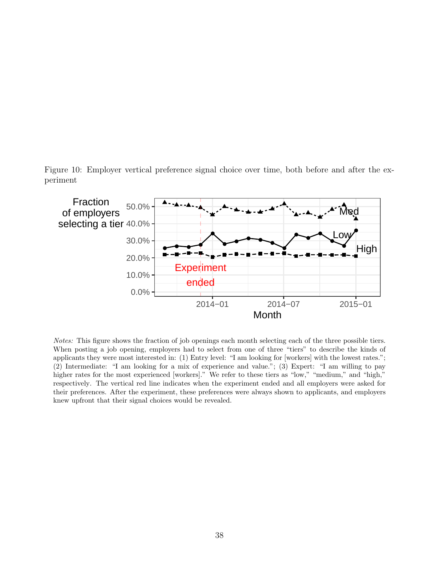<span id="page-38-0"></span>Figure 10: Employer vertical preference signal choice over time, both before and after the experiment

![](_page_38_Figure_1.jpeg)

Notes: This figure shows the fraction of job openings each month selecting each of the three possible tiers. When posting a job opening, employers had to select from one of three "tiers" to describe the kinds of applicants they were most interested in: (1) Entry level: "I am looking for [workers] with the lowest rates."; (2) Intermediate: "I am looking for a mix of experience and value."; (3) Expert: "I am willing to pay higher rates for the most experienced [workers]." We refer to these tiers as "low," "medium," and "high," respectively. The vertical red line indicates when the experiment ended and all employers were asked for their preferences. After the experiment, these preferences were always shown to applicants, and employers knew upfront that their signal choices would be revealed.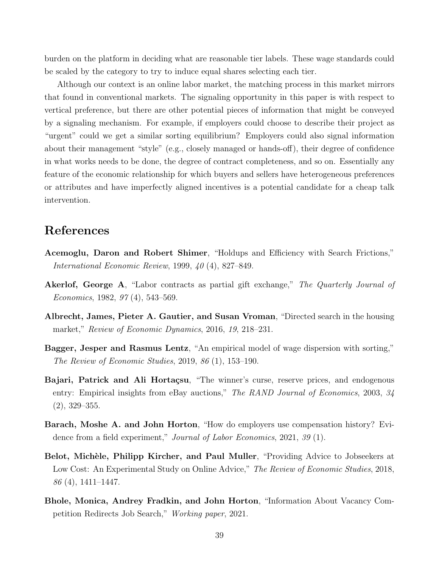burden on the platform in deciding what are reasonable tier labels. These wage standards could be scaled by the category to try to induce equal shares selecting each tier.

Although our context is an online labor market, the matching process in this market mirrors that found in conventional markets. The signaling opportunity in this paper is with respect to vertical preference, but there are other potential pieces of information that might be conveyed by a signaling mechanism. For example, if employers could choose to describe their project as "urgent" could we get a similar sorting equilibrium? Employers could also signal information about their management "style" (e.g., closely managed or hands-off), their degree of confidence in what works needs to be done, the degree of contract completeness, and so on. Essentially any feature of the economic relationship for which buyers and sellers have heterogeneous preferences or attributes and have imperfectly aligned incentives is a potential candidate for a cheap talk intervention.

# References

- <span id="page-39-3"></span>Acemoglu, Daron and Robert Shimer, "Holdups and Efficiency with Search Frictions," International Economic Review, 1999, 40 (4), 827–849.
- <span id="page-39-6"></span>Akerlof, George A, "Labor contracts as partial gift exchange," The Quarterly Journal of Economics, 1982, 97 (4), 543–569.
- <span id="page-39-4"></span>Albrecht, James, Pieter A. Gautier, and Susan Vroman, "Directed search in the housing market," Review of Economic Dynamics, 2016, 19, 218–231.
- <span id="page-39-2"></span>Bagger, Jesper and Rasmus Lentz, "An empirical model of wage dispersion with sorting," The Review of Economic Studies, 2019, 86 (1), 153–190.
- <span id="page-39-7"></span>Bajari, Patrick and Ali Hortaçsu, "The winner's curse, reserve prices, and endogenous entry: Empirical insights from eBay auctions," The RAND Journal of Economics, 2003, 34 (2), 329–355.
- <span id="page-39-5"></span>Barach, Moshe A. and John Horton, "How do employers use compensation history? Evidence from a field experiment," Journal of Labor Economics, 2021, 39 (1).
- <span id="page-39-0"></span>Belot, Michèle, Philipp Kircher, and Paul Muller, "Providing Advice to Jobseekers at Low Cost: An Experimental Study on Online Advice," The Review of Economic Studies, 2018,  $86(4)$ , 1411–1447.
- <span id="page-39-1"></span>Bhole, Monica, Andrey Fradkin, and John Horton, "Information About Vacancy Competition Redirects Job Search," Working paper, 2021.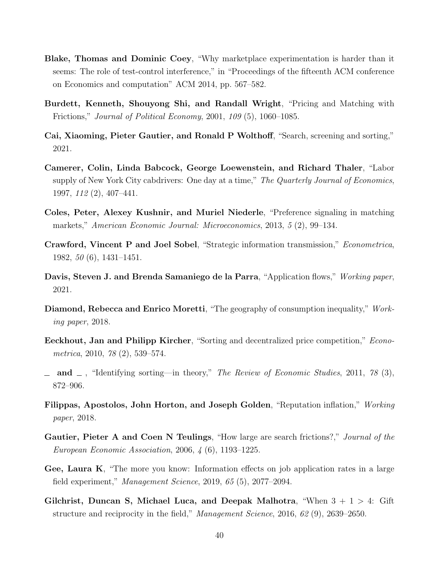- <span id="page-40-11"></span>Blake, Thomas and Dominic Coey, "Why marketplace experimentation is harder than it seems: The role of test-control interference," in "Proceedings of the fifteenth ACM conference on Economics and computation" ACM 2014, pp. 567–582.
- <span id="page-40-7"></span>Burdett, Kenneth, Shouyong Shi, and Randall Wright, "Pricing and Matching with Frictions," Journal of Political Economy, 2001, 109 (5), 1060–1085.
- <span id="page-40-6"></span>Cai, Xiaoming, Pieter Gautier, and Ronald P Wolthoff, "Search, screening and sorting," 2021.
- <span id="page-40-13"></span>Camerer, Colin, Linda Babcock, George Loewenstein, and Richard Thaler, "Labor supply of New York City cabdrivers: One day at a time," The Quarterly Journal of Economics, 1997, 112 (2), 407–441.
- <span id="page-40-1"></span>Coles, Peter, Alexey Kushnir, and Muriel Niederle, "Preference signaling in matching markets," American Economic Journal: Microeconomics, 2013, 5 (2), 99–134.
- <span id="page-40-0"></span>Crawford, Vincent P and Joel Sobel, "Strategic information transmission," Econometrica, 1982, 50 (6), 1431–1451.
- <span id="page-40-9"></span>Davis, Steven J. and Brenda Samaniego de la Parra, "Application flows," Working paper, 2021.
- <span id="page-40-10"></span>Diamond, Rebecca and Enrico Moretti, "The geography of consumption inequality," Working paper, 2018.
- <span id="page-40-4"></span>Eeckhout, Jan and Philipp Kircher, "Sorting and decentralized price competition," Econometrica, 2010, 78 (2), 539–574.
- <span id="page-40-5"></span> $\Box$  and  $\Box$ , "Identifying sorting—in theory," The Review of Economic Studies, 2011, 78 (3), 872–906.
- <span id="page-40-8"></span>Filippas, Apostolos, John Horton, and Joseph Golden, "Reputation inflation," Working paper, 2018.
- <span id="page-40-3"></span>Gautier, Pieter A and Coen N Teulings, "How large are search frictions?," Journal of the European Economic Association, 2006, 4 (6), 1193–1225.
- <span id="page-40-2"></span>Gee, Laura K, "The more you know: Information effects on job application rates in a large field experiment," Management Science, 2019, 65 (5), 2077–2094.
- <span id="page-40-12"></span>Gilchrist, Duncan S, Michael Luca, and Deepak Malhotra, "When  $3 + 1 > 4$ : Gift structure and reciprocity in the field," Management Science, 2016, 62 (9), 2639–2650.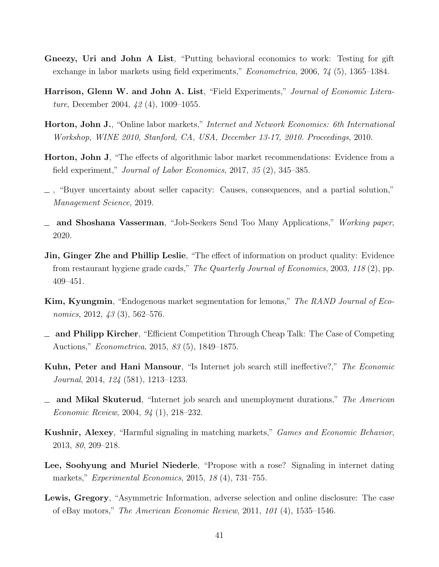- <span id="page-41-13"></span>Gneezy, Uri and John A List, "Putting behavioral economics to work: Testing for gift exchange in labor markets using field experiments," *Econometrica*, 2006, 74 (5), 1365–1384.
- <span id="page-41-12"></span>Harrison, Glenn W. and John A. List, "Field Experiments," Journal of Economic Literature, December 2004, 42 (4), 1009–1055.
- <span id="page-41-2"></span>Horton, John J., "Online labor markets," Internet and Network Economics: 6th International Workshop, WINE 2010, Stanford, CA, USA, December 13-17, 2010. Proceedings, 2010.
- <span id="page-41-7"></span>Horton, John J, "The effects of algorithmic labor market recommendations: Evidence from a field experiment," Journal of Labor Economics, 2017, 35 (2), 345–385.
- <span id="page-41-10"></span>, "Buyer uncertainty about seller capacity: Causes, consequences, and a partial solution," Management Science, 2019.
- <span id="page-41-1"></span>and Shoshana Vasserman, "Job-Seekers Send Too Many Applications," Working paper, 2020.
- <span id="page-41-9"></span>Jin, Ginger Zhe and Phillip Leslie, "The effect of information on product quality: Evidence from restaurant hygiene grade cards," The Quarterly Journal of Economics, 2003, 118 (2), pp. 409–451.
- <span id="page-41-8"></span>Kim, Kyungmin, "Endogenous market segmentation for lemons," The RAND Journal of Economics, 2012, 43 (3), 562–576.
- <span id="page-41-0"></span>and Philipp Kircher, "Efficient Competition Through Cheap Talk: The Case of Competing Auctions," Econometrica, 2015, 83 (5), 1849–1875.
- <span id="page-41-6"></span>Kuhn, Peter and Hani Mansour, "Is Internet job search still ineffective?," The Economic Journal, 2014, 124 (581), 1213–1233.
- <span id="page-41-5"></span> $\Box$  and Mikal Skuterud, "Internet job search and unemployment durations," The American Economic Review, 2004, 94 (1), 218–232.
- <span id="page-41-4"></span>Kushnir, Alexey, "Harmful signaling in matching markets," Games and Economic Behavior, 2013, 80, 209–218.
- <span id="page-41-3"></span>Lee, Soohyung and Muriel Niederle, "Propose with a rose? Signaling in internet dating markets," Experimental Economics, 2015, 18 (4), 731–755.
- <span id="page-41-11"></span>Lewis, Gregory, "Asymmetric Information, adverse selection and online disclosure: The case of eBay motors," The American Economic Review, 2011, 101 (4), 1535–1546.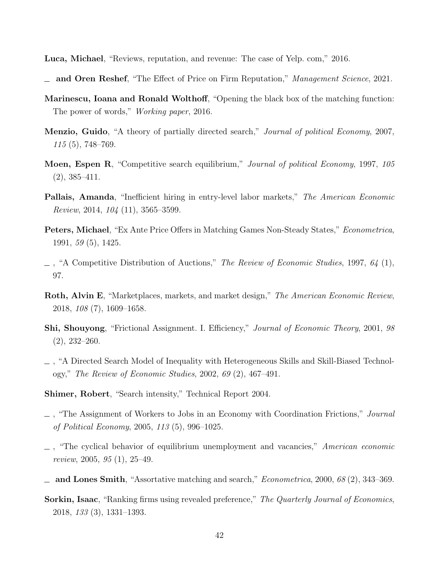<span id="page-42-12"></span>Luca, Michael, "Reviews, reputation, and revenue: The case of Yelp. com," 2016.

- <span id="page-42-15"></span>and Oren Reshef, "The Effect of Price on Firm Reputation," Management Science, 2021.
- <span id="page-42-2"></span>Marinescu, Ioana and Ronald Wolthoff, "Opening the black box of the matching function: The power of words," *Working paper*, 2016.
- <span id="page-42-0"></span>Menzio, Guido, "A theory of partially directed search," Journal of political Economy, 2007, 115 (5), 748–769.
- <span id="page-42-9"></span>Moen, Espen R, "Competitive search equilibrium," Journal of political Economy, 1997, 105 (2), 385–411.
- <span id="page-42-1"></span>Pallais, Amanda, "Inefficient hiring in entry-level labor markets," The American Economic Review, 2014, 104 (11), 3565–3599.
- <span id="page-42-7"></span>Peters, Michael, "Ex Ante Price Offers in Matching Games Non-Steady States," Econometrica, 1991, 59 (5), 1425.
- <span id="page-42-8"></span> $\Box$ , "A Competitive Distribution of Auctions," The Review of Economic Studies, 1997, 64 (1), 97.
- <span id="page-42-11"></span>Roth, Alvin E, "Marketplaces, markets, and market design," The American Economic Review, 2018, 108 (7), 1609–1658.
- <span id="page-42-4"></span>Shi, Shouyong, "Frictional Assignment. I. Efficiency," Journal of Economic Theory, 2001, 98 (2), 232–260.
- <span id="page-42-5"></span>, "A Directed Search Model of Inequality with Heterogeneous Skills and Skill-Biased Technology," The Review of Economic Studies, 2002, 69 (2), 467–491.
- <span id="page-42-13"></span>Shimer, Robert, "Search intensity," Technical Report 2004.
- <span id="page-42-10"></span>, "The Assignment of Workers to Jobs in an Economy with Coordination Frictions," Journal of Political Economy, 2005, 113 (5), 996–1025.
- <span id="page-42-6"></span> $\Box$ , "The cyclical behavior of equilibrium unemployment and vacancies," American economic review, 2005, 95 (1), 25–49.
- <span id="page-42-3"></span> $\Delta$  and Lones Smith, "Assortative matching and search," *Econometrica*, 2000, 68 (2), 343–369.
- <span id="page-42-14"></span>Sorkin, Isaac, "Ranking firms using revealed preference," The Quarterly Journal of Economics, 2018, 133 (3), 1331–1393.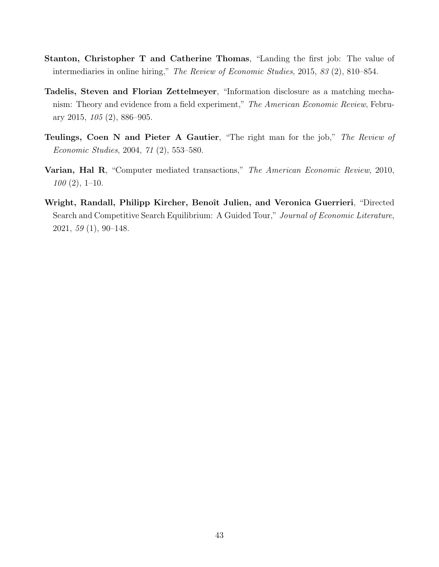- <span id="page-43-0"></span>Stanton, Christopher T and Catherine Thomas, "Landing the first job: The value of intermediaries in online hiring," The Review of Economic Studies, 2015, 83 (2), 810–854.
- <span id="page-43-1"></span>Tadelis, Steven and Florian Zettelmeyer, "Information disclosure as a matching mechanism: Theory and evidence from a field experiment," The American Economic Review, February 2015, 105 (2), 886–905.
- <span id="page-43-3"></span>Teulings, Coen N and Pieter A Gautier, "The right man for the job," The Review of Economic Studies, 2004, 71 (2), 553–580.
- <span id="page-43-2"></span>Varian, Hal R, "Computer mediated transactions," The American Economic Review, 2010,  $100(2), 1-10.$
- <span id="page-43-4"></span>Wright, Randall, Philipp Kircher, Benoît Julien, and Veronica Guerrieri, "Directed Search and Competitive Search Equilibrium: A Guided Tour," Journal of Economic Literature, 2021, 59 (1), 90–148.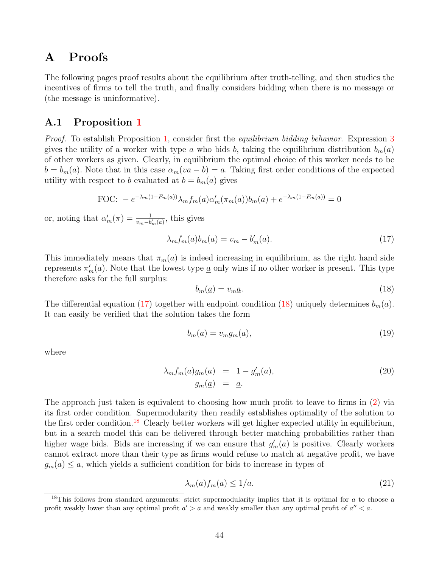# <span id="page-44-0"></span>A Proofs

The following pages proof results about the equilibrium after truth-telling, and then studies the incentives of firms to tell the truth, and finally considers bidding when there is no message or (the message is uninformative).

### A.1 Proposition [1](#page-9-1)

Proof. To establish Proposition [1,](#page-9-1) consider first the *equilibrium bidding behavior*. Expression [3](#page-7-1) gives the utility of a worker with type a who bids b, taking the equilibrium distribution  $b_m(a)$ of other workers as given. Clearly, in equilibrium the optimal choice of this worker needs to be  $b = b_m(a)$ . Note that in this case  $\alpha_m(va - b) = a$ . Taking first order conditions of the expected utility with respect to b evaluated at  $b = b_m(a)$  gives

FOC: 
$$
-e^{-\lambda_m(1-F_m(a))}\lambda_m f_m(a)\alpha'_m(\pi_m(a))b_m(a) + e^{-\lambda_m(1-F_m(a))} = 0
$$

or, noting that  $\alpha'_m(\pi) = \frac{1}{v_m - b'_m(a)}$ , this gives

$$
\lambda_m f_m(a) b_m(a) = v_m - b'_m(a). \tag{17}
$$

This immediately means that  $\pi_m(a)$  is indeed increasing in equilibrium, as the right hand side represents  $\pi'_m(a)$ . Note that the lowest type <u>a</u> only wins if no other worker is present. This type therefore asks for the full surplus:

<span id="page-44-2"></span><span id="page-44-1"></span>
$$
b_m(\underline{a}) = v_m \underline{a}.\tag{18}
$$

The differential equation [\(17\)](#page-44-1) together with endpoint condition [\(18\)](#page-44-2) uniquely determines  $b_m(a)$ . It can easily be verified that the solution takes the form

$$
b_m(a) = v_m g_m(a),\tag{19}
$$

where

<span id="page-44-3"></span>
$$
\lambda_m f_m(a) g_m(a) = 1 - g'_m(a),
$$
\n
$$
g_m(\underline{a}) = \underline{a}.
$$
\n(20)

The approach just taken is equivalent to choosing how much profit to leave to firms in [\(2\)](#page-7-0) via its first order condition. Supermodularity then readily establishes optimality of the solution to the first order condition.<sup>[18](#page-0-0)</sup> Clearly better workers will get higher expected utility in equilibrium, but in a search model this can be delivered through better matching probabilities rather than higher wage bids. Bids are increasing if we can ensure that  $g'_m(a)$  is positive. Clearly workers cannot extract more than their type as firms would refuse to match at negative profit, we have  $g_m(a) \leq a$ , which yields a sufficient condition for bids to increase in types of

<span id="page-44-4"></span>
$$
\lambda_m(a) f_m(a) \le 1/a. \tag{21}
$$

 $18$ This follows from standard arguments: strict supermodularity implies that it is optimal for a to choose a profit weakly lower than any optimal profit  $a' > a$  and weakly smaller than any optimal profit of  $a'' < a$ .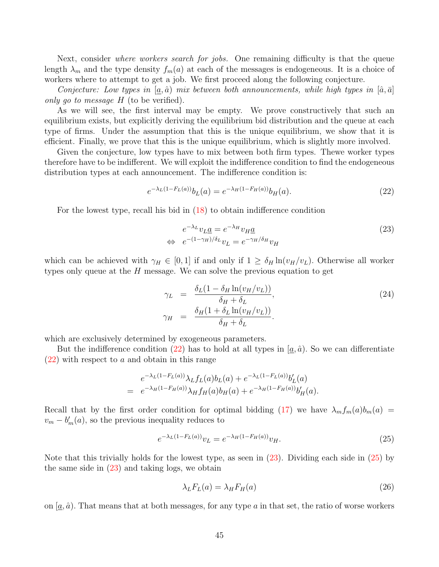Next, consider *where workers search for jobs.* One remaining difficulty is that the queue length  $\lambda_m$  and the type density  $f_m(a)$  at each of the messages is endogeneous. It is a choice of workers where to attempt to get a job. We first proceed along the following conjecture.

Conjecture: Low types in [a,  $\hat{a}$ ) mix between both announcements, while high types in  $[\hat{a}, \bar{a}]$ only go to message  $H$  (to be verified).

As we will see, the first interval may be empty. We prove constructively that such an equilibrium exists, but explicitly deriving the equilibrium bid distribution and the queue at each type of firms. Under the assumption that this is the unique equilibrium, we show that it is efficient. Finally, we prove that this is the unique equilibrium, which is slightly more involved.

Given the conjecture, low types have to mix between both firm types. Thewe worker types therefore have to be indifferent. We will exploit the indifference condition to find the endogeneous distribution types at each announcement. The indifference condition is:

$$
e^{-\lambda_L(1 - F_L(a))} b_L(a) = e^{-\lambda_H(1 - F_H(a))} b_H(a).
$$
\n(22)

For the lowest type, recall his bid in [\(18\)](#page-44-2) to obtain indifference condition

<span id="page-45-1"></span><span id="page-45-0"></span>
$$
e^{-\lambda_L} v_L \underline{a} = e^{-\lambda_H} v_H \underline{a}
$$
  
\n
$$
\Leftrightarrow e^{-(1-\gamma_H)/\delta_L} v_L = e^{-\gamma_H/\delta_H} v_H
$$
\n(23)

which can be achieved with  $\gamma_H \in [0, 1]$  if and only if  $1 \geq \delta_H \ln(v_H/v_L)$ . Otherwise all worker types only queue at the  $H$  message. We can solve the previous equation to get

<span id="page-45-4"></span>
$$
\gamma_L = \frac{\delta_L (1 - \delta_H \ln(v_H/v_L))}{\delta_H + \delta_L},
$$
\n
$$
\gamma_H = \frac{\delta_H (1 + \delta_L \ln(v_H/v_L))}{\delta_H + \delta_L}.
$$
\n(24)

which are exclusively determined by exogeneous parameters.

But the indifference condition [\(22\)](#page-45-0) has to hold at all types in  $(a, \hat{a})$ . So we can differentiate  $(22)$  with respect to a and obtain in this range

$$
e^{-\lambda_L(1-F_L(a))}\lambda_L f_L(a)b_L(a) + e^{-\lambda_L(1-F_L(a))}b'_L(a)
$$
  
= 
$$
e^{-\lambda_H(1-F_H(a))}\lambda_H f_H(a)b_H(a) + e^{-\lambda_H(1-F_H(a))}b'_H(a).
$$

Recall that by the first order condition for optimal bidding [\(17\)](#page-44-1) we have  $\lambda_m f_m(a) b_m(a)$  =  $v_m - b'_m(a)$ , so the previous inequality reduces to

<span id="page-45-2"></span>
$$
e^{-\lambda_L(1 - F_L(a))}v_L = e^{-\lambda_H(1 - F_H(a))}v_H.
$$
\n(25)

Note that this trivially holds for the lowest type, as seen in [\(23\)](#page-45-1). Dividing each side in [\(25\)](#page-45-2) by the same side in  $(23)$  and taking logs, we obtain

<span id="page-45-3"></span>
$$
\lambda_L F_L(a) = \lambda_H F_H(a) \tag{26}
$$

on  $[a, \hat{a})$ . That means that at both messages, for any type a in that set, the ratio of worse workers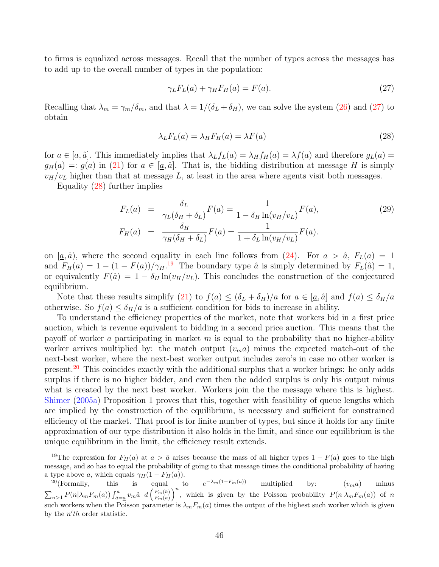to firms is equalized across messages. Recall that the number of types across the messages has to add up to the overall number of types in the population:

<span id="page-46-0"></span>
$$
\gamma_L F_L(a) + \gamma_H F_H(a) = F(a). \tag{27}
$$

Recalling that  $\lambda_m = \gamma_m/\delta_m$ , and that  $\lambda = 1/(\delta_L + \delta_H)$ , we can solve the system [\(26\)](#page-45-3) and [\(27\)](#page-46-0) to obtain

<span id="page-46-1"></span>
$$
\lambda_L F_L(a) = \lambda_H F_H(a) = \lambda F(a) \tag{28}
$$

for  $a \in [a, \hat{a}]$ . This immediately implies that  $\lambda_L f_L(a) = \lambda_H f_H(a) = \lambda f(a)$  and therefore  $g_L(a) =$  $g_H(a) =: g(a)$  in [\(21\)](#page-44-3) for  $a \in [a, \hat{a}]$ . That is, the bidding distribution at message H is simply  $v_H/v_L$  higher than that at message L, at least in the area where agents visit both messages.

Equality [\(28\)](#page-46-1) further implies

$$
F_L(a) = \frac{\delta_L}{\gamma_L(\delta_H + \delta_L)} F(a) = \frac{1}{1 - \delta_H \ln(v_H/v_L)} F(a),
$$
\n
$$
F_H(a) = \frac{\delta_H}{\gamma_H(\delta_H + \delta_L)} F(a) = \frac{1}{1 + \delta_L \ln(v_H/v_L)} F(a).
$$
\n(29)

on  $[\underline{a}, \hat{a})$ , where the second equality in each line follows from  $(24)$ . For  $a > \hat{a}$ ,  $F_L(a) = 1$ and  $F_H(a) = 1 - (1 - F(a))/\gamma_H$ .<sup>[19](#page-0-0)</sup> The boundary type  $\hat{a}$  is simply determined by  $F_L(\hat{a}) = 1$ , or equivalently  $F(\hat{a}) = 1 - \delta_H \ln(v_H/v_L)$ . This concludes the construction of the conjectured equilibrium.

Note that these results simplify [\(21\)](#page-44-4) to  $f(a) \leq (\delta_L + \delta_H)/a$  for  $a \in [a, \hat{a}]$  and  $f(a) \leq \delta_H/a$ otherwise. So  $f(a) \leq \delta_H/a$  is a sufficient condition for bids to increase in ability.

To understand the efficiency properties of the market, note that workers bid in a first price auction, which is revenue equivalent to bidding in a second price auction. This means that the payoff of worker a participating in market  $m$  is equal to the probability that no higher-ability worker arrives multiplied by: the match output  $(v_m a)$  minus the expected match-out of the next-best worker, where the next-best worker output includes zero's in case no other worker is present.<sup>[20](#page-0-0)</sup> This coincides exactly with the additional surplus that a worker brings: he only adds surplus if there is no higher bidder, and even then the added surplus is only his output minus what is created by the next best worker. Workers join the the message where this is highest. [Shimer](#page-42-10) [\(2005a\)](#page-42-10) Proposition 1 proves that this, together with feasibility of queue lengths which are implied by the construction of the equilibrium, is necessary and sufficient for constrained efficiency of the market. That proof is for finite number of types, but since it holds for any finite approximation of our type distribution it also holds in the limit, and since our equilibrium is the unique equilibrium in the limit, the efficiency result extends.

<sup>&</sup>lt;sup>19</sup>The expression for  $F_H(a)$  at  $a > \hat{a}$  arises because the mass of all higher types  $1 - F(a)$  goes to the high message, and so has to equal the probability of going to that message times the conditional probability of having a type above a, which equals  $\gamma_H(1 - F_H(a))$ .

<sup>&</sup>lt;sup>20</sup>(Formally, this is equal to  $e^{-\lambda_m(1-F_m(a))}$  multiplied by:  $(v_m a)$  minus  $\sum_{n>1} P(n|\lambda_m F_m(a)) \int_{\tilde{a}=a}^{a} v_m \tilde{a} \ d\left(\frac{F_m(\tilde{a})}{F_m(a)}\right)$  $\frac{F_m(\tilde{a})}{F_m(a)}\bigg)^n$ , which is given by the Poisson probability  $P(n|\lambda_m F_m(a))$  of n such workers when the Poisson parameter is  $\lambda_m F_m(a)$  times the output of the highest such worker which is given by the  $n'th$  order statistic.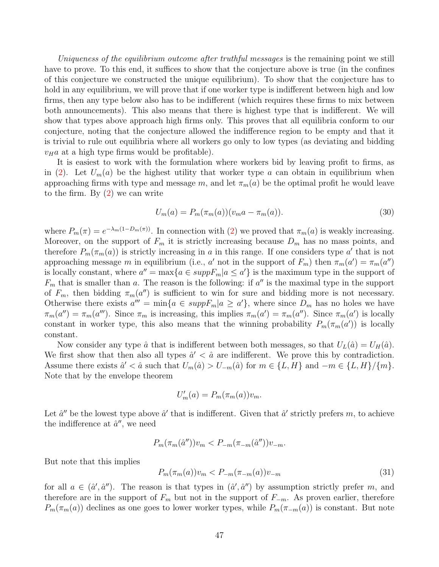Uniqueness of the equilibrium outcome after truthful messages is the remaining point we still have to prove. To this end, it suffices to show that the conjecture above is true (in the confines of this conjecture we constructed the unique equilibrium). To show that the conjecture has to hold in any equilibrium, we will prove that if one worker type is indifferent between high and low firms, then any type below also has to be indifferent (which requires these firms to mix between both announcements). This also means that there is highest type that is indifferent. We will show that types above approach high firms only. This proves that all equilibria conform to our conjecture, noting that the conjecture allowed the indifference region to be empty and that it is trivial to rule out equilibria where all workers go only to low types (as deviating and bidding  $v_H a$  at a high type firms would be profitable).

It is easiest to work with the formulation where workers bid by leaving profit to firms, as in [\(2\)](#page-7-0). Let  $U_m(a)$  be the highest utility that worker type a can obtain in equilibrium when approaching firms with type and message m, and let  $\pi_m(a)$  be the optimal profit he would leave to the firm. By  $(2)$  we can write

$$
U_m(a) = P_m(\pi_m(a))(v_m a - \pi_m(a)).
$$
\n(30)

where  $P_m(\pi) = e^{-\lambda_m(1-D_m(\pi))}$ . In connection with [\(2\)](#page-7-0) we proved that  $\pi_m(a)$  is weakly increasing. Moreover, on the support of  $F_m$  it is strictly increasing because  $D_m$  has no mass points, and therefore  $P_m(\pi_m(a))$  is strictly increasing in a in this range. If one considers type a' that is not approaching message m in equilibrium (i.e., a' not in the support of  $F_m$ ) then  $\pi_m(a') = \pi_m(a'')$ is locally constant, where  $a'' = \max\{a \in suppF_m | a \le a'\}$  is the maximum type in the support of  $F_m$  that is smaller than a. The reason is the following: if  $a''$  is the maximal type in the support of  $F_m$ , then bidding  $\pi_m(a'')$  is sufficient to win for sure and bidding more is not necessary. Otherwise there exists  $a''' = \min\{a \in \text{supp}F_m | a \ge a'\}$ , where since  $D_m$  has no holes we have  $\pi_m(a'') = \pi_m(a''')$ . Since  $\pi_m$  is increasing, this implies  $\pi_m(a') = \pi_m(a'')$ . Since  $\pi_m(a')$  is locally constant in worker type, this also means that the winning probability  $P_m(\pi_m(a'))$  is locally constant.

Now consider any type  $\hat{a}$  that is indifferent between both messages, so that  $U_L(\hat{a}) = U_H(\hat{a})$ . We first show that then also all types  $\hat{a}' < \hat{a}$  are indifferent. We prove this by contradiction. Assume there exists  $\hat{a}' < \hat{a}$  such that  $U_m(\hat{a}) > U_{-m}(\hat{a})$  for  $m \in \{L, H\}$  and  $-m \in \{L, H\}/\{m\}$ . Note that by the envelope theorem

$$
U'_m(a) = P_m(\pi_m(a))v_m.
$$

Let  $\hat{a}''$  be the lowest type above  $\hat{a}'$  that is indifferent. Given that  $\hat{a}'$  strictly prefers m, to achieve the indifference at  $\hat{a}^{\prime\prime}$ , we need

$$
P_m(\pi_m(\hat{a}''))v_m < P_{-m}(\pi_{-m}(\hat{a}''))v_{-m}.
$$

But note that this implies

$$
P_m(\pi_m(a))v_m < P_{-m}(\pi_{-m}(a))v_{-m} \tag{31}
$$

for all  $a \in (\hat{a}', \hat{a}'')$ . The reason is that types in  $(\hat{a}', \hat{a}'')$  by assumption strictly prefer m, and therefore are in the support of  $F_m$  but not in the support of  $F_{-m}$ . As proven earlier, therefore  $P_m(\pi_m(a))$  declines as one goes to lower worker types, while  $P_m(\pi_{-m}(a))$  is constant. But note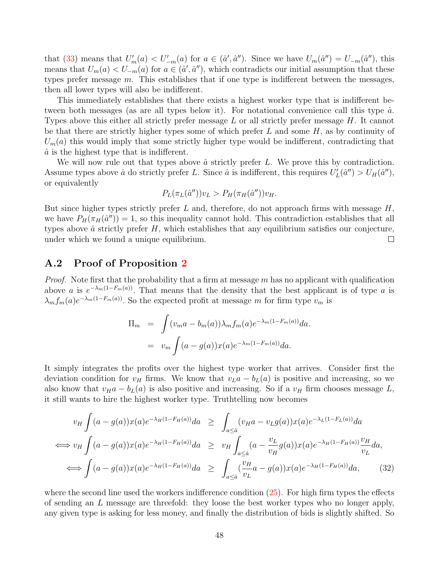that [\(33\)](#page-49-0) means that  $U'_m(a) < U'_{-m}(a)$  for  $a \in (\hat{a}', \hat{a}'')$ . Since we have  $U_m(\hat{a}'') = U_{-m}(\hat{a}'')$ , this means that  $U_m(a) < U_{-m}(a)$  for  $a \in (\hat{a}', \hat{a}'')$ , which contradicts our initial assumption that these types prefer message  $m$ . This establishes that if one type is indifferent between the messages, then all lower types will also be indifferent.

This immediately establishes that there exists a highest worker type that is indifferent between both messages (as are all types below it). For notational convenience call this type  $\hat{a}$ . Types above this either all strictly prefer message L or all strictly prefer message H. It cannot be that there are strictly higher types some of which prefer  $L$  and some  $H$ , as by continuity of  $U_m(a)$  this would imply that some strictly higher type would be indifferent, contradicting that  $\hat{a}$  is the highest type that is indifferent.

We will now rule out that types above  $\hat{a}$  strictly prefer  $L$ . We prove this by contradiction. Assume types above  $\hat{a}$  do strictly prefer L. Since  $\hat{a}$  is indifferent, this requires  $U'_L(\hat{a}'') > U_H(\hat{a}'')$ , or equivalently

$$
P_L(\pi_L(\hat{a}''))v_L > P_H(\pi_H(\hat{a}''))v_H.
$$

But since higher types strictly prefer  $L$  and, therefore, do not approach firms with message  $H$ , we have  $P_H(\pi_H(\hat{a}^{\prime\prime}))=1$ , so this inequality cannot hold. This contradiction establishes that all types above  $\hat{a}$  strictly prefer  $H$ , which establishes that any equilibrium satisfies our conjecture, under which we found a unique equilibrium.  $\Box$ 

### A.2 Proof of Proposition [2](#page-10-0)

*Proof.* Note first that the probability that a firm at message  $m$  has no applicant with qualification above a is  $e^{-\lambda_m(1-F_m(a))}$ . That means that the density that the best applicant is of type a is  $\lambda_m f_m(a) e^{-\lambda_m(1-F_m(a))}$ . So the expected profit at message m for firm type  $v_m$  is

$$
\Pi_m = \int (v_m a - b_m(a)) \lambda_m f_m(a) e^{-\lambda_m (1 - F_m(a))} da.
$$
  
= 
$$
v_m \int (a - g(a)) x(a) e^{-\lambda_m (1 - F_m(a))} da.
$$

It simply integrates the profits over the highest type worker that arrives. Consider first the deviation condition for  $v_H$  firms. We know that  $v_L a - b_L(a)$  is positive and increasing, so we also know that  $v_H a - b_L(a)$  is also positive and increasing. So if a  $v_H$  firm chooses message L, it still wants to hire the highest worker type. Truthtelling now becomes

<span id="page-48-0"></span>
$$
v_H \int (a - g(a))x(a)e^{-\lambda_H(1 - F_H(a))}da \ge \int_{a \le \hat{a}} (v_H a - v_L g(a))x(a)e^{-\lambda_L(1 - F_L(a))}da
$$
  
\n
$$
\iff v_H \int (a - g(a))x(a)e^{-\lambda_H(1 - F_H(a))}da \ge v_H \int_{a \le \hat{a}} (a - \frac{v_L}{v_H} g(a))x(a)e^{-\lambda_H(1 - F_H(a))} \frac{v_H}{v_L}da,
$$
  
\n
$$
\iff \int (a - g(a))x(a)e^{-\lambda_H(1 - F_H(a))}da \ge \int_{a \le \hat{a}} (\frac{v_H}{v_L} a - g(a))x(a)e^{-\lambda_H(1 - F_H(a))}da, \quad (32)
$$

where the second line used the workers indifference condition  $(25)$ . For high firm types the effects of sending an L message are threefold: they loose the best worker types who no longer apply, any given type is asking for less money, and finally the distribution of bids is slightly shifted. So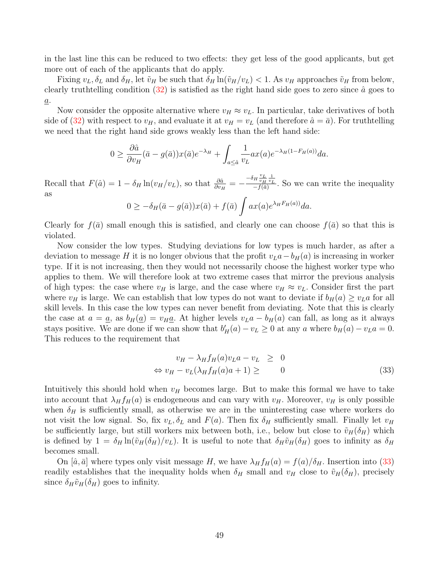in the last line this can be reduced to two effects: they get less of the good applicants, but get more out of each of the applicants that do apply.

Fixing  $v_L, \delta_L$  and  $\delta_H$ , let  $\tilde{v}_H$  be such that  $\delta_H \ln(\tilde{v}_H/v_L) < 1$ . As  $v_H$  approaches  $\tilde{v}_H$  from below, clearly truthtelling condition  $(32)$  is satisfied as the right hand side goes to zero since  $\hat{a}$  goes to  $\underline{a}$ .

Now consider the opposite alternative where  $v_H \approx v_L$ . In particular, take derivatives of both side of [\(32\)](#page-48-0) with respect to  $v_H$ , and evaluate it at  $v_H = v_L$  (and therefore  $\hat{a} = \bar{a}$ ). For truthtelling we need that the right hand side grows weakly less than the left hand side:

$$
0 \ge \frac{\partial \hat{a}}{\partial v_H} (\bar{a} - g(\bar{a})) x(\bar{a}) e^{-\lambda_H} + \int_{a \le \hat{a}} \frac{1}{v_L} a x(a) e^{-\lambda_H (1 - F_H(a))} da.
$$

Recall that  $F(\hat{a}) = 1 - \delta_H \ln(v_H/v_L)$ , so that  $\frac{\partial \hat{a}}{\partial v_H} = -\frac{-\delta_H \frac{v_L}{v_H} \frac{1}{v_L}}{-f(\bar{a})}$  $\frac{H v_H v_L}{-f(\bar{a})}$ . So we can write the inequality as

$$
0 \geq -\delta_H(\bar{a} - g(\bar{a}))x(\bar{a}) + f(\bar{a})\int ax(a)e^{\lambda_H F_H(a))}da.
$$

Clearly for  $f(\bar{a})$  small enough this is satisfied, and clearly one can choose  $f(\bar{a})$  so that this is violated.

Now consider the low types. Studying deviations for low types is much harder, as after a deviation to message H it is no longer obvious that the profit  $v<sub>L</sub>a-b<sub>H</sub>(a)$  is increasing in worker type. If it is not increasing, then they would not necessarily choose the highest worker type who applies to them. We will therefore look at two extreme cases that mirror the previous analysis of high types: the case where  $v_H$  is large, and the case where  $v_H \approx v_L$ . Consider first the part where  $v_H$  is large. We can establish that low types do not want to deviate if  $b_H(a) \ge v_L a$  for all skill levels. In this case the low types can never benefit from deviating. Note that this is clearly the case at  $a = \underline{a}$ , as  $b_H(\underline{a}) = v_H \underline{a}$ . At higher levels  $v_L a - b_H(a)$  can fall, as long as it always stays positive. We are done if we can show that  $b'_H(a) - v_L \ge 0$  at any a where  $b_H(a) - v_L a = 0$ . This reduces to the requirement that

<span id="page-49-0"></span>
$$
v_H - \lambda_H f_H(a) v_L a - v_L \ge 0
$$
  
\n
$$
\Leftrightarrow v_H - v_L(\lambda_H f_H(a) a + 1) \ge 0
$$
\n(33)

Intuitively this should hold when  $v_H$  becomes large. But to make this formal we have to take into account that  $\lambda_H f_H(a)$  is endogeneous and can vary with  $v_H$ . Moreover,  $v_H$  is only possible when  $\delta_H$  is sufficiently small, as otherwise we are in the uninteresting case where workers do not visit the low signal. So, fix  $v_L$ ,  $\delta_L$  and  $F(a)$ . Then fix  $\delta_H$  sufficiently small. Finally let  $v_H$ be sufficiently large, but still workers mix between both, i.e., below but close to  $\tilde{v}_H(\delta_H)$  which is defined by  $1 = \delta_H \ln(\tilde{v}_H(\delta_H)/v_L)$ . It is useful to note that  $\delta_H \tilde{v}_H(\delta_H)$  goes to infinity as  $\delta_H$ becomes small.

On  $[\hat{a}, \bar{a}]$  where types only visit message H, we have  $\lambda_H f_H(a) = f(a)/\delta_H$ . Insertion into [\(33\)](#page-49-0) readily establishes that the inequality holds when  $\delta_H$  small and  $v_H$  close to  $\tilde{v}_H(\delta_H)$ , precisely since  $\delta_H \tilde{v}_H(\delta_H)$  goes to infinity.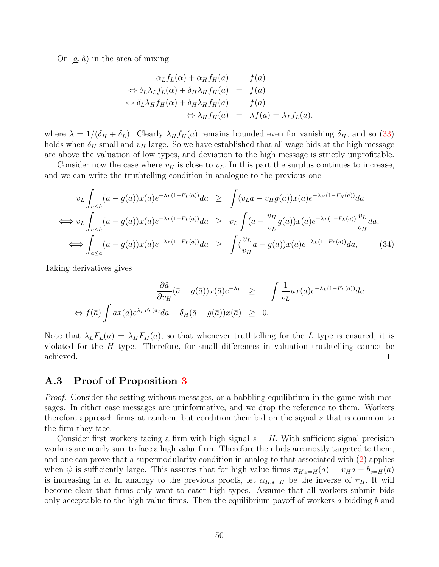On  $[\underline{a}, \hat{a})$  in the area of mixing

$$
\alpha_L f_L(\alpha) + \alpha_H f_H(a) = f(a)
$$
  
\n
$$
\Leftrightarrow \delta_L \lambda_L f_L(\alpha) + \delta_H \lambda_H f_H(a) = f(a)
$$
  
\n
$$
\Leftrightarrow \delta_L \lambda_H f_H(\alpha) + \delta_H \lambda_H f_H(a) = f(a)
$$
  
\n
$$
\Leftrightarrow \lambda_H f_H(a) = \lambda f(a) = \lambda_L f_L(a).
$$

where  $\lambda = 1/(\delta_H + \delta_L)$ . Clearly  $\lambda_H f_H(a)$  remains bounded even for vanishing  $\delta_H$ , and so [\(33\)](#page-49-0) holds when  $\delta_H$  small and  $v_H$  large. So we have established that all wage bids at the high message are above the valuation of low types, and deviation to the high message is strictly unprofitable.

Consider now the case where  $v_H$  is close to  $v_L$ . In this part the surplus continues to increase, and we can write the truthtelling condition in analogue to the previous one

$$
v_L \int_{a \leq \hat{a}} (a - g(a))x(a)e^{-\lambda_L(1 - F_L(a))}da \geq \int (v_L a - v_H g(a))x(a)e^{-\lambda_H(1 - F_H(a))}da
$$
  
\n
$$
\iff v_L \int_{a \leq \hat{a}} (a - g(a))x(a)e^{-\lambda_L(1 - F_L(a))}da \geq v_L \int (a - \frac{v_H}{v_L} g(a))x(a)e^{-\lambda_L(1 - F_L(a))} \frac{v_L}{v_H}da,
$$
  
\n
$$
\iff \int_{a \leq \hat{a}} (a - g(a))x(a)e^{-\lambda_L(1 - F_L(a))}da \geq \int (\frac{v_L}{v_H} a - g(a))x(a)e^{-\lambda_L(1 - F_L(a))}da, \qquad (34)
$$

Taking derivatives gives

$$
\frac{\partial \hat{a}}{\partial v_H} (\bar{a} - g(\bar{a})) x(\bar{a}) e^{-\lambda_L} \ge -\int \frac{1}{v_L} a x(a) e^{-\lambda_L (1 - F_L(a))} da
$$
  
\n
$$
\Leftrightarrow f(\bar{a}) \int a x(a) e^{\lambda_L F_L(a)} da - \delta_H(\bar{a} - g(\bar{a})) x(\bar{a}) \ge 0.
$$

Note that  $\lambda_L F_L(a) = \lambda_H F_H(a)$ , so that whenever truthtelling for the L type is ensured, it is violated for the H type. Therefore, for small differences in valuation truthtelling cannot be achieved.  $\Box$ 

### A.3 Proof of Proposition [3](#page-11-0)

Proof. Consider the setting without messages, or a babbling equilibrium in the game with messages. In either case messages are uninformative, and we drop the reference to them. Workers therefore approach firms at random, but condition their bid on the signal s that is common to the firm they face.

Consider first workers facing a firm with high signal  $s = H$ . With sufficient signal precision workers are nearly sure to face a high value firm. Therefore their bids are mostly targeted to them, and one can prove that a supermodularity condition in analog to that associated with [\(2\)](#page-7-0) applies when  $\psi$  is sufficiently large. This assures that for high value firms  $\pi_{H,s=H}(a) = v_H a - b_{s=H}(a)$ is increasing in a. In analogy to the previous proofs, let  $\alpha_{H,s=H}$  be the inverse of  $\pi_H$ . It will become clear that firms only want to cater high types. Assume that all workers submit bids only acceptable to the high value firms. Then the equilibrium payoff of workers a bidding  $b$  and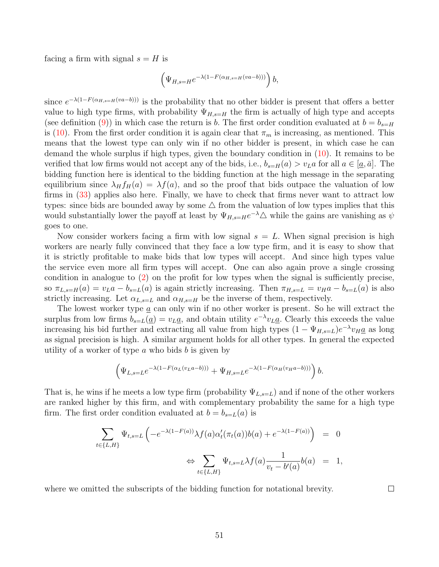facing a firm with signal  $s = H$  is

$$
\left(\Psi_{H,s=H}e^{-\lambda(1-F(\alpha_{H,s=H}(va-b)))}\right)b,
$$

since  $e^{-\lambda(1-F(\alpha_{H,s=H}(va-b)))}$  is the probability that no other bidder is present that offers a better value to high type firms, with probability  $\Psi_{H,s=H}$  the firm is actually of high type and accepts (see definition [\(9\)](#page-11-1)) in which case the return is b. The first order condition evaluated at  $b = b_{s=H}$ is [\(10\)](#page-12-0). From the first order condition it is again clear that  $\pi_m$  is increasing, as mentioned. This means that the lowest type can only win if no other bidder is present, in which case he can demand the whole surplus if high types, given the boundary condition in [\(10\)](#page-12-0). It remains to be verified that low firms would not accept any of the bids, i.e.,  $b_{s=H}(a) > v<sub>L</sub>a$  for all  $a \in [a, \bar{a}]$ . The bidding function here is identical to the bidding function at the high message in the separating equilibrium since  $\lambda_H f_H(a) = \lambda f(a)$ , and so the proof that bids outpace the valuation of low firms in [\(33\)](#page-49-0) applies also here. Finally, we have to check that firms never want to attract low types: since bids are bounded away by some  $\Delta$  from the valuation of low types implies that this would substantially lower the payoff at least by  $\Psi_{H,s=He}^{-\lambda} \triangle$  while the gains are vanishing as  $\psi$ goes to one.

Now consider workers facing a firm with low signal  $s = L$ . When signal precision is high workers are nearly fully convinced that they face a low type firm, and it is easy to show that it is strictly profitable to make bids that low types will accept. And since high types value the service even more all firm types will accept. One can also again prove a single crossing condition in analogue to [\(2\)](#page-7-0) on the profit for low types when the signal is sufficiently precise, so  $\pi_{L,s=H}(a) = v_{L}a - b_{s=L}(a)$  is again strictly increasing. Then  $\pi_{H,s=L} = v_{H}a - b_{s=L}(a)$  is also strictly increasing. Let  $\alpha_{L,s=L}$  and  $\alpha_{H,s=H}$  be the inverse of them, respectively.

The lowest worker type  $\underline{a}$  can only win if no other worker is present. So he will extract the surplus from low firms  $b_{s=L}(\underline{a}) = v_L \underline{a}$ , and obtain utility  $e^{-\lambda} v_L \underline{a}$ . Clearly this exceeds the value increasing his bid further and extracting all value from high types  $(1 - \Psi_{H,s=L})e^{-\lambda}v_H\underline{a}$  as long as signal precision is high. A similar argument holds for all other types. In general the expected utility of a worker of type  $a$  who bids  $b$  is given by

$$
\left(\Psi_{L,s=L}e^{-\lambda(1-F(\alpha_L(v_La-b)))}+\Psi_{H,s=L}e^{-\lambda(1-F(\alpha_H(v_Ha-b)))}\right)b.
$$

That is, he wins if he meets a low type firm (probability  $\Psi_{L,s=L}$ ) and if none of the other workers are ranked higher by this firm, and with complementary probability the same for a high type firm. The first order condition evaluated at  $b = b_{s=L}(a)$  is

$$
\sum_{t \in \{L,H\}} \Psi_{t,s=L} \left( -e^{-\lambda(1-F(a))} \lambda f(a) \alpha'_t(\pi_t(a)) b(a) + e^{-\lambda(1-F(a))} \right) = 0
$$
  

$$
\Leftrightarrow \sum_{t \in \{L,H\}} \Psi_{t,s=L} \lambda f(a) \frac{1}{v_t - b'(a)} b(a) = 1,
$$

where we omitted the subscripts of the bidding function for notational brevity.

 $\Box$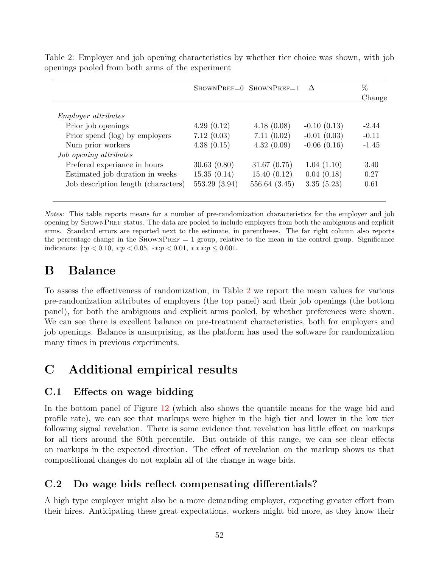|                                     |               | SHOWNPREF=0 SHOWNPREF=1 $\Delta$ |               | %       |
|-------------------------------------|---------------|----------------------------------|---------------|---------|
|                                     |               |                                  |               | Change  |
| <i>Employer attributes</i>          |               |                                  |               |         |
| Prior job openings                  | 4.29(0.12)    | 4.18(0.08)                       | $-0.10(0.13)$ | $-2.44$ |
| Prior spend (log) by employers      | 7.12(0.03)    | 7.11(0.02)                       | $-0.01(0.03)$ | $-0.11$ |
| Num prior workers                   | 4.38(0.15)    | 4.32(0.09)                       | $-0.06(0.16)$ | $-1.45$ |
| Job opening attributes              |               |                                  |               |         |
| Prefered experiance in hours        | 30.63(0.80)   | 31.67(0.75)                      | 1.04(1.10)    | 3.40    |
| Estimated job duration in weeks     | 15.35(0.14)   | 15.40(0.12)                      | 0.04(0.18)    | 0.27    |
| Job description length (characters) | 553.29 (3.94) | 556.64 (3.45)                    | 3.35(5.23)    | 0.61    |
|                                     |               |                                  |               |         |

<span id="page-52-3"></span>Table 2: Employer and job opening characteristics by whether tier choice was shown, with job openings pooled from both arms of the experiment

Notes: This table reports means for a number of pre-randomization characteristics for the employer and job opening by ShownPref status. The data are pooled to include employers from both the ambiguous and explicit arms. Standard errors are reported next to the estimate, in parentheses. The far right column also reports the percentage change in the SHOWNPREF  $= 1$  group, relative to the mean in the control group. Significance indicators:  $\dagger: p < 0.10, *: p < 0.05, **: p < 0.01, **: p \leq 0.001.$ 

# <span id="page-52-0"></span>B Balance

To assess the effectiveness of randomization, in Table [2](#page-52-3) we report the mean values for various pre-randomization attributes of employers (the top panel) and their job openings (the bottom panel), for both the ambiguous and explicit arms pooled, by whether preferences were shown. We can see there is excellent balance on pre-treatment characteristics, both for employers and job openings. Balance is unsurprising, as the platform has used the software for randomization many times in previous experiments.

# C Additional empirical results

### <span id="page-52-1"></span>C.1 Effects on wage bidding

In the bottom panel of Figure [12](#page-54-0) (which also shows the quantile means for the wage bid and profile rate), we can see that markups were higher in the high tier and lower in the low tier following signal revelation. There is some evidence that revelation has little effect on markups for all tiers around the 80th percentile. But outside of this range, we can see clear effects on markups in the expected direction. The effect of revelation on the markup shows us that compositional changes do not explain all of the change in wage bids.

### <span id="page-52-2"></span>C.2 Do wage bids reflect compensating differentials?

A high type employer might also be a more demanding employer, expecting greater effort from their hires. Anticipating these great expectations, workers might bid more, as they know their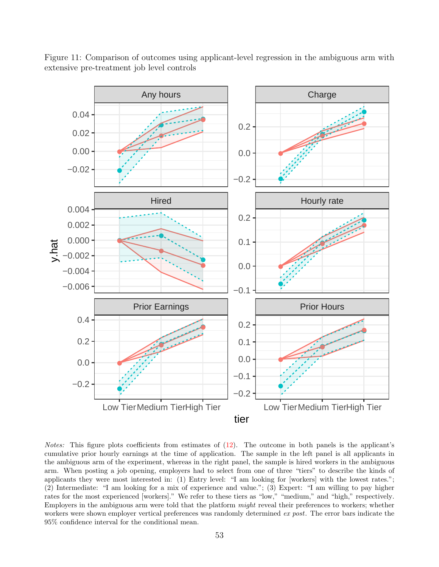![](_page_53_Figure_0.jpeg)

Figure 11: Comparison of outcomes using applicant-level regression in the ambiguous arm with extensive pre-treatment job level controls

Notes: This figure plots coefficients from estimates of  $(12)$ . The outcome in both panels is the applicant's cumulative prior hourly earnings at the time of application. The sample in the left panel is all applicants in the ambiguous arm of the experiment, whereas in the right panel, the sample is hired workers in the ambiguous arm. When posting a job opening, employers had to select from one of three "tiers" to describe the kinds of applicants they were most interested in: (1) Entry level: "I am looking for [workers] with the lowest rates."; (2) Intermediate: "I am looking for a mix of experience and value."; (3) Expert: "I am willing to pay higher rates for the most experienced [workers]." We refer to these tiers as "low," "medium," and "high," respectively. Employers in the ambiguous arm were told that the platform might reveal their preferences to workers; whether workers were shown employer vertical preferences was randomly determined ex post. The error bars indicate the 95% confidence interval for the conditional mean.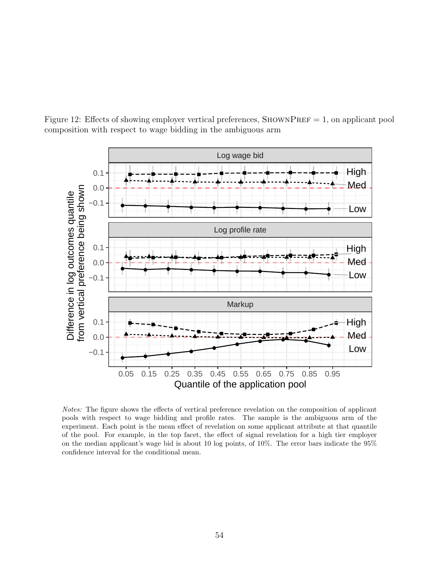![](_page_54_Figure_0.jpeg)

<span id="page-54-0"></span>Figure 12: Effects of showing employer vertical preferences,  $SHOWNPREF = 1$ , on applicant pool composition with respect to wage bidding in the ambiguous arm

Notes: The figure shows the effects of vertical preference revelation on the composition of applicant pools with respect to wage bidding and profile rates. The sample is the ambiguous arm of the experiment. Each point is the mean effect of revelation on some applicant attribute at that quantile of the pool. For example, in the top facet, the effect of signal revelation for a high tier employer on the median applicant's wage bid is about 10 log points, of 10%. The error bars indicate the 95% confidence interval for the conditional mean.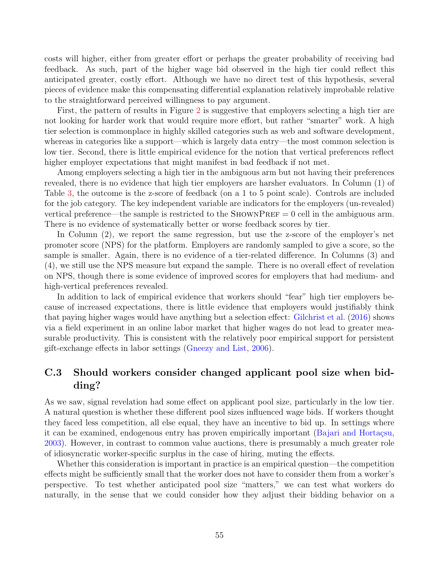costs will higher, either from greater effort or perhaps the greater probability of receiving bad feedback. As such, part of the higher wage bid observed in the high tier could reflect this anticipated greater, costly effort. Although we have no direct test of this hypothesis, several pieces of evidence make this compensating differential explanation relatively improbable relative to the straightforward perceived willingness to pay argument.

First, the pattern of results in Figure [2](#page-20-0) is suggestive that employers selecting a high tier are not looking for harder work that would require more effort, but rather "smarter" work. A high tier selection is commonplace in highly skilled categories such as web and software development, whereas in categories like a support—which is largely data entry—the most common selection is low tier. Second, there is little empirical evidence for the notion that vertical preferences reflect higher employer expectations that might manifest in bad feedback if not met.

Among employers selecting a high tier in the ambiguous arm but not having their preferences revealed, there is no evidence that high tier employers are harsher evaluators. In Column (1) of Table [3,](#page-56-0) the outcome is the z-score of feedback (on a 1 to 5 point scale). Controls are included for the job category. The key independent variable are indicators for the employers (un-revealed) vertical preference—the sample is restricted to the SHOWNPREF  $= 0$  cell in the ambiguous arm. There is no evidence of systematically better or worse feedback scores by tier.

In Column (2), we report the same regression, but use the z-score of the employer's net promoter score (NPS) for the platform. Employers are randomly sampled to give a score, so the sample is smaller. Again, there is no evidence of a tier-related difference. In Columns (3) and (4), we still use the NPS measure but expand the sample. There is no overall effect of revelation on NPS, though there is some evidence of improved scores for employers that had medium- and high-vertical preferences revealed.

In addition to lack of empirical evidence that workers should "fear" high tier employers because of increased expectations, there is little evidence that employers would justifiably think that paying higher wages would have anything but a selection effect: [Gilchrist et al.](#page-40-12) [\(2016\)](#page-40-12) shows via a field experiment in an online labor market that higher wages do not lead to greater measurable productivity. This is consistent with the relatively poor empirical support for persistent gift-exchange effects in labor settings [\(Gneezy and List,](#page-41-13) [2006\)](#page-41-13).

### C.3 Should workers consider changed applicant pool size when bidding?

As we saw, signal revelation had some effect on applicant pool size, particularly in the low tier. A natural question is whether these different pool sizes influenced wage bids. If workers thought they faced less competition, all else equal, they have an incentive to bid up. In settings where it can be examined, endogenous entry has proven empirically important (Bajari and Hortaçsu, [2003\)](#page-39-7). However, in contrast to common value auctions, there is presumably a much greater role of idiosyncratic worker-specific surplus in the case of hiring, muting the effects.

Whether this consideration is important in practice is an empirical question—the competition effects might be sufficiently small that the worker does not have to consider them from a worker's perspective. To test whether anticipated pool size "matters," we can test what workers do naturally, in the sense that we could consider how they adjust their bidding behavior on a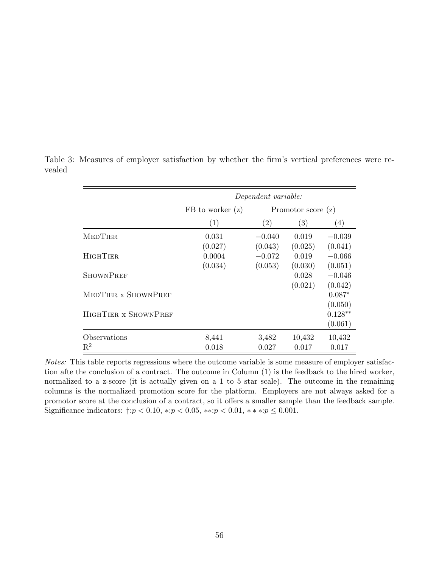|                      | Dependent variable:  |                      |         |           |
|----------------------|----------------------|----------------------|---------|-----------|
|                      | $FB$ to worker $(z)$ | Promotor score $(z)$ |         |           |
|                      | (1)                  | (2)                  | (3)     | (4)       |
| <b>MEDTIER</b>       | 0.031                | $-0.040$             | 0.019   | $-0.039$  |
|                      | (0.027)              | (0.043)              | (0.025) | (0.041)   |
| <b>HIGHTIER</b>      | 0.0004               | $-0.072$             | 0.019   | $-0.066$  |
|                      | (0.034)              | (0.053)              | (0.030) | (0.051)   |
| <b>SHOWNPREF</b>     |                      |                      | 0.028   | $-0.046$  |
|                      |                      |                      | (0.021) | (0.042)   |
| MEDTIER x SHOWNPREF  |                      |                      |         | $0.087*$  |
|                      |                      |                      |         | (0.050)   |
| HIGHTIER x SHOWNPREF |                      |                      |         | $0.128**$ |
|                      |                      |                      |         | (0.061)   |
| Observations         | 8,441                | 3,482                | 10,432  | 10,432    |
| $\mathbf{R}^2$       | 0.018                | 0.027                | 0.017   | 0.017     |

<span id="page-56-0"></span>Table 3: Measures of employer satisfaction by whether the firm's vertical preferences were revealed

Notes: This table reports regressions where the outcome variable is some measure of employer satisfaction afte the conclusion of a contract. The outcome in Column (1) is the feedback to the hired worker, normalized to a z-score (it is actually given on a 1 to 5 star scale). The outcome in the remaining columns is the normalized promotion score for the platform. Employers are not always asked for a promotor score at the conclusion of a contract, so it offers a smaller sample than the feedback sample. Significance indicators:  $\dagger: p < 0.10, * : p < 0.05, ** : p < 0.01, ** : p \leq 0.001$ .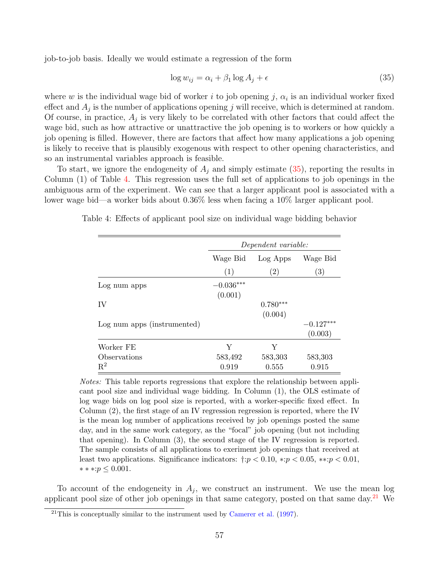job-to-job basis. Ideally we would estimate a regression of the form

<span id="page-57-0"></span>
$$
\log w_{ij} = \alpha_i + \beta_1 \log A_j + \epsilon \tag{35}
$$

where w is the individual wage bid of worker i to job opening j,  $\alpha_i$  is an individual worker fixed effect and  $A_j$  is the number of applications opening j will receive, which is determined at random. Of course, in practice,  $A_j$  is very likely to be correlated with other factors that could affect the wage bid, such as how attractive or unattractive the job opening is to workers or how quickly a job opening is filled. However, there are factors that affect how many applications a job opening is likely to receive that is plausibly exogenous with respect to other opening characteristics, and so an instrumental variables approach is feasible.

To start, we ignore the endogeneity of  $A_i$  and simply estimate  $(35)$ , reporting the results in Column (1) of Table [4.](#page-57-1) This regression uses the full set of applications to job openings in the ambiguous arm of the experiment. We can see that a larger applicant pool is associated with a lower wage bid—a worker bids about 0.36% less when facing a 10% larger applicant pool.

<span id="page-57-1"></span>Table 4: Effects of applicant pool size on individual wage bidding behavior

|                             | Dependent variable:              |                   |             |  |
|-----------------------------|----------------------------------|-------------------|-------------|--|
|                             | Wage Bid<br>Log Apps<br>Wage Bid |                   |             |  |
|                             | (1)                              | $\left( 2\right)$ | (3)         |  |
| Log num apps                | $-0.036***$<br>(0.001)           |                   |             |  |
| IV                          |                                  | $0.780***$        |             |  |
|                             |                                  | (0.004)           |             |  |
| Log num apps (instrumented) |                                  |                   | $-0.127***$ |  |
|                             |                                  |                   | (0.003)     |  |
| Worker FE                   | Y                                | Y                 |             |  |
| Observations                | 583,492                          | 583,303           | 583,303     |  |
| $\mathrm{R}^2$              | 0.919                            | 0.555             | 0.915       |  |

Notes: This table reports regressions that explore the relationship between applicant pool size and individual wage bidding. In Column (1), the OLS estimate of log wage bids on log pool size is reported, with a worker-specific fixed effect. In Column (2), the first stage of an IV regression regression is reported, where the IV is the mean log number of applications received by job openings posted the same day, and in the same work category, as the "focal" job opening (but not including that opening). In Column (3), the second stage of the IV regression is reported. The sample consists of all applications to exeriment job openings that received at least two applications. Significance indicators:  $\ddagger: p < 0.10, \dotsc p < 0.05, \dotsc p < 0.01$ , ∗ ∗ ∗:p ≤ 0.001.

To account of the endogeneity in  $A_j$ , we construct an instrument. We use the mean log applicant pool size of other job openings in that same category, posted on that same day. $21$  We

 $^{21}$ This is conceptually similar to the instrument used by [Camerer et al.](#page-40-13) [\(1997\)](#page-40-13).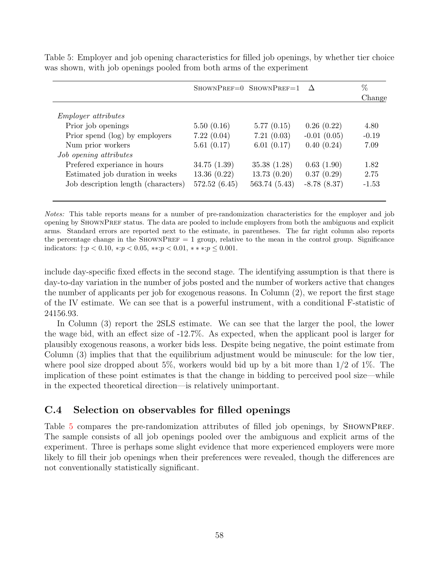|                                     |              | SHOWNPREF=0 SHOWNPREF=1 $\Delta$ |               | %       |
|-------------------------------------|--------------|----------------------------------|---------------|---------|
|                                     |              |                                  |               | Change  |
| <i>Employer attributes</i>          |              |                                  |               |         |
| Prior job openings                  | 5.50(0.16)   | 5.77(0.15)                       | 0.26(0.22)    | 4.80    |
| Prior spend (log) by employers      | 7.22(0.04)   | 7.21(0.03)                       | $-0.01(0.05)$ | $-0.19$ |
| Num prior workers                   | 5.61(0.17)   | 6.01(0.17)                       | 0.40(0.24)    | 7.09    |
| Job opening attributes              |              |                                  |               |         |
| Prefered experiance in hours        | 34.75(1.39)  | 35.38(1.28)                      | 0.63(1.90)    | 1.82    |
| Estimated job duration in weeks     | 13.36(0.22)  | 13.73(0.20)                      | 0.37(0.29)    | 2.75    |
| Job description length (characters) | 572.52(6.45) | 563.74 (5.43)                    | $-8.78(8.37)$ | $-1.53$ |
|                                     |              |                                  |               |         |

<span id="page-58-1"></span>Table 5: Employer and job opening characteristics for filled job openings, by whether tier choice was shown, with job openings pooled from both arms of the experiment

Notes: This table reports means for a number of pre-randomization characteristics for the employer and job opening by ShownPref status. The data are pooled to include employers from both the ambiguous and explicit arms. Standard errors are reported next to the estimate, in parentheses. The far right column also reports the percentage change in the SHOWNPREF  $= 1$  group, relative to the mean in the control group. Significance indicators:  $\dagger: p < 0.10, *: p < 0.05, **: p < 0.01, **: p \leq 0.001.$ 

include day-specific fixed effects in the second stage. The identifying assumption is that there is day-to-day variation in the number of jobs posted and the number of workers active that changes the number of applicants per job for exogenous reasons. In Column (2), we report the first stage of the IV estimate. We can see that is a powerful instrument, with a conditional F-statistic of 24156.93.

In Column (3) report the 2SLS estimate. We can see that the larger the pool, the lower the wage bid, with an effect size of -12.7%. As expected, when the applicant pool is larger for plausibly exogenous reasons, a worker bids less. Despite being negative, the point estimate from Column (3) implies that that the equilibrium adjustment would be minuscule: for the low tier, where pool size dropped about 5%, workers would bid up by a bit more than  $1/2$  of  $1\%$ . The implication of these point estimates is that the change in bidding to perceived pool size—while in the expected theoretical direction—is relatively unimportant.

### <span id="page-58-0"></span>C.4 Selection on observables for filled openings

Table [5](#page-58-1) compares the pre-randomization attributes of filled job openings, by SHOWNPREF. The sample consists of all job openings pooled over the ambiguous and explicit arms of the experiment. Three is perhaps some slight evidence that more experienced employers were more likely to fill their job openings when their preferences were revealed, though the differences are not conventionally statistically significant.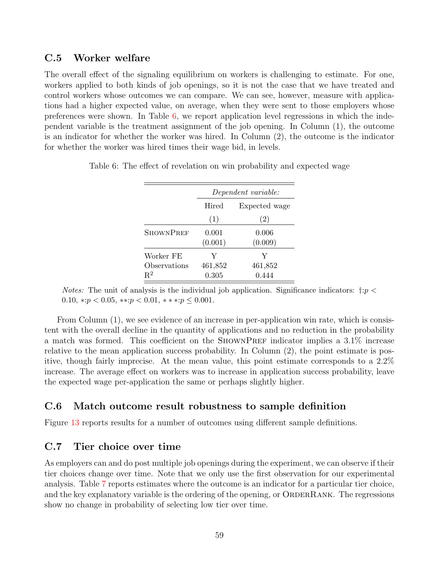### <span id="page-59-1"></span>C.5 Worker welfare

The overall effect of the signaling equilibrium on workers is challenging to estimate. For one, workers applied to both kinds of job openings, so it is not the case that we have treated and control workers whose outcomes we can compare. We can see, however, measure with applications had a higher expected value, on average, when they were sent to those employers whose preferences were shown. In Table [6,](#page-59-3) we report application level regressions in which the independent variable is the treatment assignment of the job opening. In Column (1), the outcome is an indicator for whether the worker was hired. In Column (2), the outcome is the indicator for whether the worker was hired times their wage bid, in levels.

|                  | Dependent variable: |                  |  |  |
|------------------|---------------------|------------------|--|--|
|                  | Hired               | Expected wage    |  |  |
|                  | (1)                 | (2)              |  |  |
| <b>SHOWNPREF</b> | 0.001<br>(0.001)    | 0.006<br>(0.009) |  |  |
| Worker FE        | Y                   | Y                |  |  |
| Observations     | 461,852             | 461,852          |  |  |
| $R^2$            | 0.305               | 0.444            |  |  |

<span id="page-59-3"></span>Table 6: The effect of revelation on win probability and expected wage

*Notes:* The unit of analysis is the individual job application. Significance indicators:  $\dagger: p <$ 0.10,  $\ast : p < 0.05$ ,  $\ast : p < 0.01$ ,  $\ast * : p \leq 0.001$ .

From Column (1), we see evidence of an increase in per-application win rate, which is consistent with the overall decline in the quantity of applications and no reduction in the probability a match was formed. This coefficient on the SHOWNPREF indicator implies a  $3.1\%$  increase relative to the mean application success probability. In Column (2), the point estimate is positive, though fairly imprecise. At the mean value, this point estimate corresponds to a 2.2% increase. The average effect on workers was to increase in application success probability, leave the expected wage per-application the same or perhaps slightly higher.

### <span id="page-59-0"></span>C.6 Match outcome result robustness to sample definition

Figure [13](#page-60-0) reports results for a number of outcomes using different sample definitions.

### <span id="page-59-2"></span>C.7 Tier choice over time

As employers can and do post multiple job openings during the experiment, we can observe if their tier choices change over time. Note that we only use the first observation for our experimental analysis. Table [7](#page-61-0) reports estimates where the outcome is an indicator for a particular tier choice, and the key explanatory variable is the ordering of the opening, or ORDERRANK. The regressions show no change in probability of selecting low tier over time.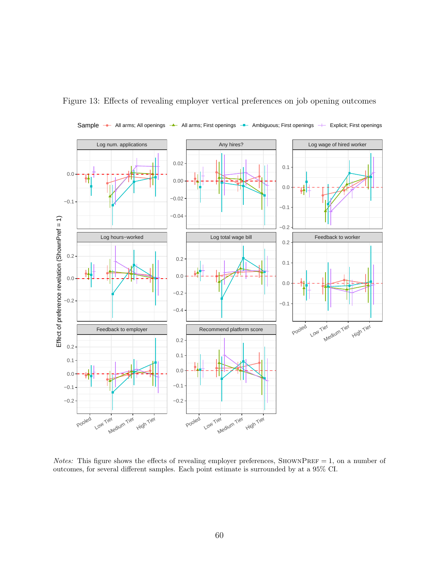![](_page_60_Figure_0.jpeg)

<span id="page-60-0"></span>Figure 13: Effects of revealing employer vertical preferences on job opening outcomes

Notes: This figure shows the effects of revealing employer preferences, SHOWNPREF = 1, on a number of outcomes, for several different samples. Each point estimate is surrounded by at a 95% CI.